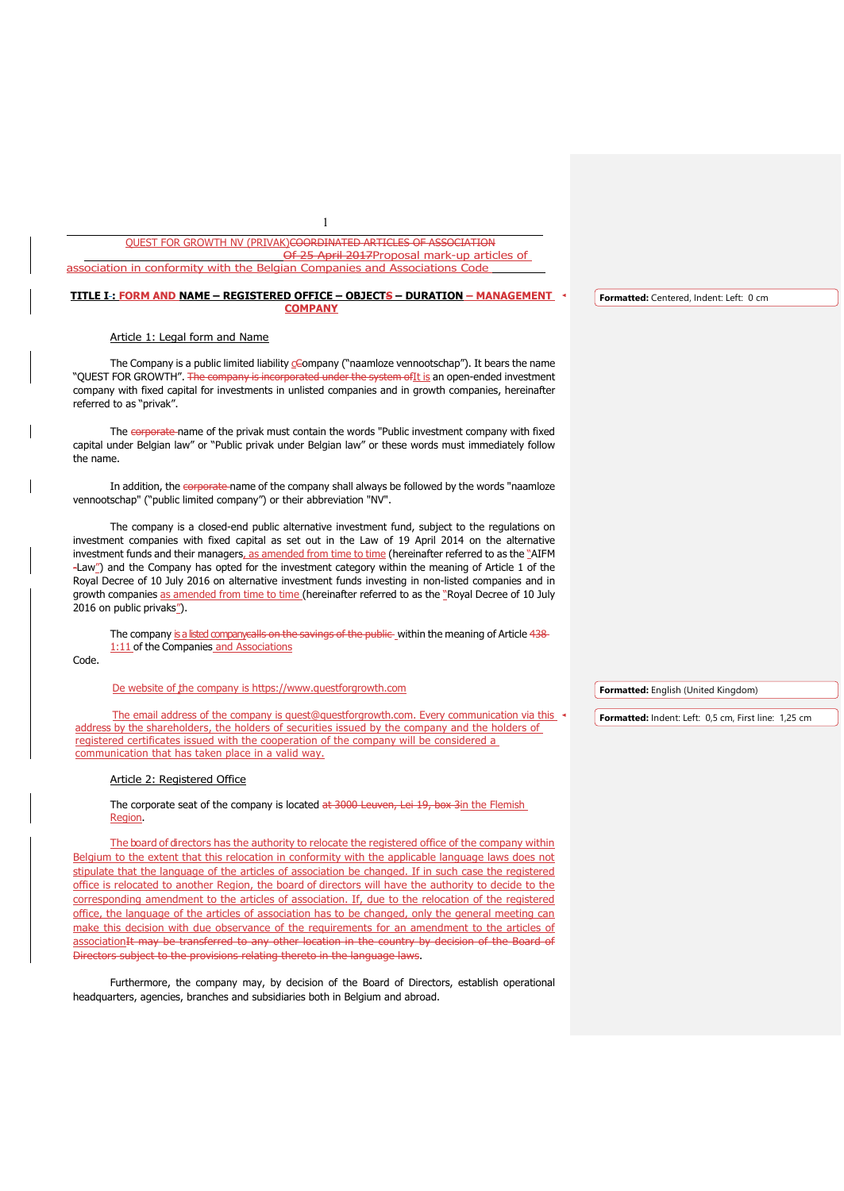QUEST FOR GROWTH NV (PRIVAK)COORDINATED ARTICLES OF ASSOCIATION 25 April 2017Proposal mark-up articles of association in conformity with the Belgian Companies and Associations Code

1

#### **TITLE I : FORM AND NAME – REGISTERED OFFICE – OBJECTS – DURATION – MANAGEMENT COMPANY Formatted:** Centered, Indent: Left: 0 cm

Article 1: Legal form and Name

The Company is a public limited liability company ("naamloze vennootschap"). It bears the name "QUEST FOR GROWTH". The company is incorporated under the system of It is an open-ended investment company with fixed capital for investments in unlisted companies and in growth companies, hereinafter referred to as "privak".

The corporate name of the privak must contain the words "Public investment company with fixed capital under Belgian law" or "Public privak under Belgian law" or these words must immediately follow the name.

In addition, the corporate name of the company shall always be followed by the words "naamloze vennootschap" ("public limited company") or their abbreviation "NV".

The company is a closed-end public alternative investment fund, subject to the regulations on investment companies with fixed capital as set out in the Law of 19 April 2014 on the alternative investment funds and their managers, as amended from time to time (hereinafter referred to as the "AIFM -Law") and the Company has opted for the investment category within the meaning of Article 1 of the Royal Decree of 10 July 2016 on alternative investment funds investing in non-listed companies and in growth companies as amended from time to time (hereinafter referred to as the "Royal Decree of 10 July 2016 on public privaks").

The company is a listed company calls on the savings of the public-within the meaning of Article 438-1:11 of the Companies and Associations

Code.

De website of the company is [https://www.questforgrowth.com](https://www.questforgrowth.com/)

The email address of the company is [quest@questforgrowth.com.](mailto:quest@questforgrowth.com) Every communication via this address by the shareholders, the holders of securities issued by the company and the holders of registered certificates issued with the cooperation of the company will be considered a communication that has taken place in a valid way.

## Article 2: Registered Office

The corporate seat of the company is located at 3000 Leuven, Lei 19, box 3in the Flemish Region.

The board of directors has the authority to relocate the registered office of the company within Belgium to the extent that this relocation in conformity with the applicable language laws does not stipulate that the language of the articles of association be changed. If in such case the registered office is relocated to another Region, the board of directors will have the authority to decide to the corresponding amendment to the articles of association. If, due to the relocation of the registered office, the language of the articles of association has to be changed, only the general meeting can make this decision with due observance of the requirements for an amendment to the articles of association It may be transferred to any other location in the country by decision of the Board of Directors subject to the provisions relating thereto in the language laws.

Furthermore, the company may, by decision of the Board of Directors, establish operational headquarters, agencies, branches and subsidiaries both in Belgium and abroad.

**Formatted:** English (United Kingdom)

**Formatted:** Indent: Left: 0,5 cm, First line: 1,25 cm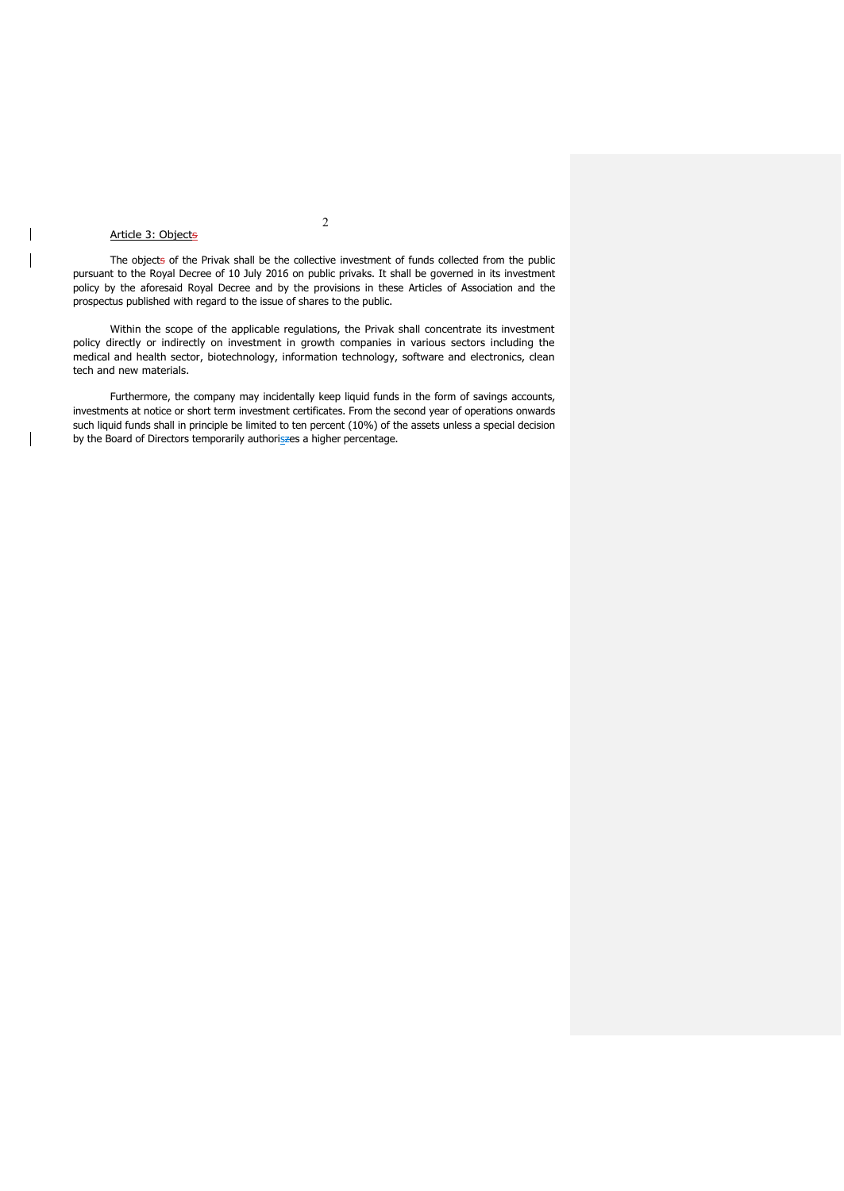## Article 3: Objects

The objects of the Privak shall be the collective investment of funds collected from the public pursuant to the Royal Decree of 10 July 2016 on public privaks. It shall be governed in its investment policy by the aforesaid Royal Decree and by the provisions in these Articles of Association and the prospectus published with regard to the issue of shares to the public.

Within the scope of the applicable regulations, the Privak shall concentrate its investment policy directly or indirectly on investment in growth companies in various sectors including the medical and health sector, biotechnology, information technology, software and electronics, clean tech and new materials.

Furthermore, the company may incidentally keep liquid funds in the form of savings accounts, investments at notice or short term investment certificates. From the second year of operations onwards such liquid funds shall in principle be limited to ten percent (10%) of the assets unless a special decision by the Board of Directors temporarily authoriszes a higher percentage.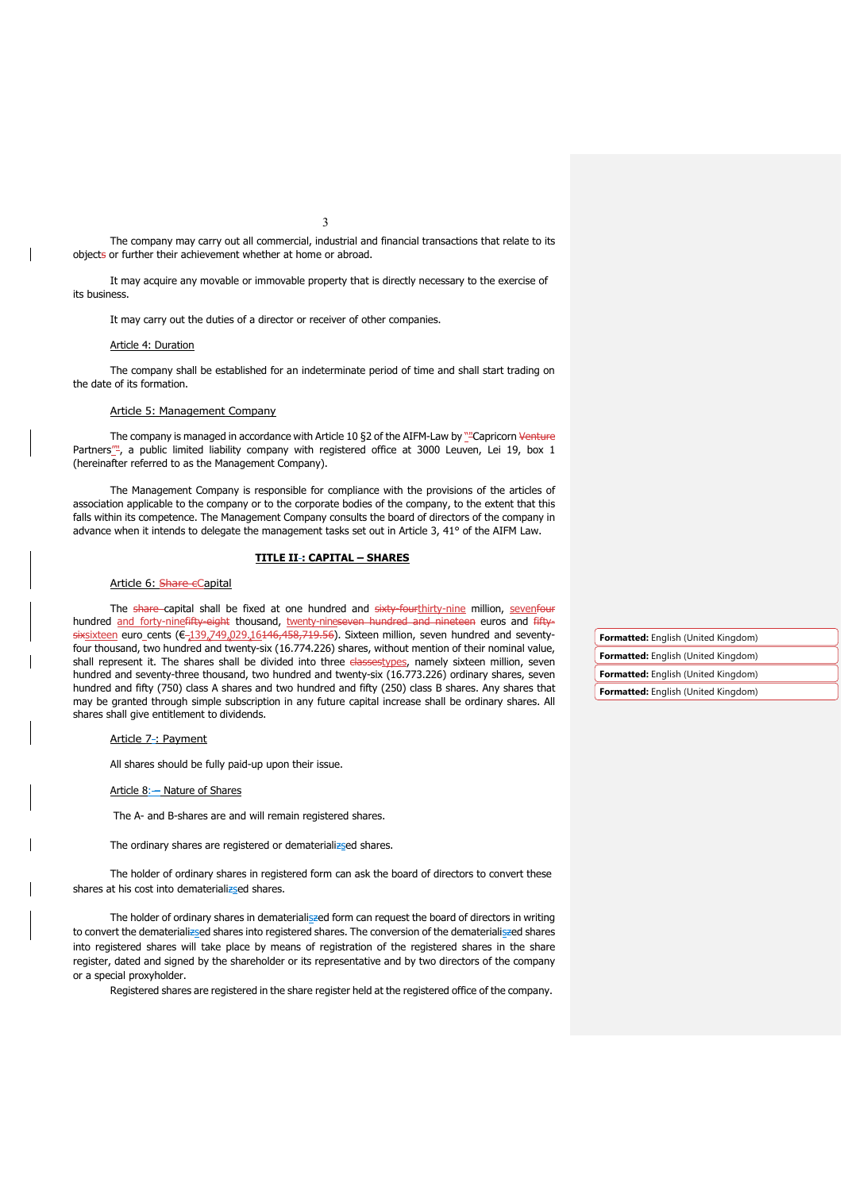3

The company may carry out all commercial, industrial and financial transactions that relate to its objects or further their achievement whether at home or abroad.

It may acquire any movable or immovable property that is directly necessary to the exercise of its business.

It may carry out the duties of a director or receiver of other companies.

## Article 4: Duration

The company shall be established for an indeterminate period of time and shall start trading on the date of its formation.

### Article 5: Management Company

The company is managed in accordance with Article 10 §2 of the AIFM-Law by "Capricorn Venture Partners<sup>""</sup>, a public limited liability company with registered office at 3000 Leuven, Lei 19, box 1 (hereinafter referred to as the Management Company).

The Management Company is responsible for compliance with the provisions of the articles of association applicable to the company or to the corporate bodies of the company, to the extent that this falls within its competence. The Management Company consults the board of directors of the company in advance when it intends to delegate the management tasks set out in Article 3, 41° of the AIFM Law.

### **TITLE II : CAPITAL – SHARES**

## Article 6: Share eCapital

The share capital shall be fixed at one hundred and sixty fourthirty-nine million, sevenfour hundred and forty-ninefifty-eight thousand, twenty-nineseven hundred and nineteen euros and fiftysixsixteen euro\_cents (€-139,749,029,16146,458,719.56). Sixteen million, seven hundred and seventyfour thousand, two hundred and twenty-six (16.774.226) shares, without mention of their nominal value, shall represent it. The shares shall be divided into three classestypes, namely sixteen million, seven hundred and seventy-three thousand, two hundred and twenty-six (16.773.226) ordinary shares, seven hundred and fifty (750) class A shares and two hundred and fifty (250) class B shares. Any shares that may be granted through simple subscription in any future capital increase shall be ordinary shares. All shares shall give entitlement to dividends.

## Article 7-: Payment

All shares should be fully paid-up upon their issue.

## Article 8: - Nature of Shares

The A- and B-shares are and will remain registered shares.

The ordinary shares are registered or dematerializsed shares.

The holder of ordinary shares in registered form can ask the board of directors to convert these shares at his cost into dematerializsed shares.

The holder of ordinary shares in dematerialiszed form can request the board of directors in writing to convert the dematerializsed shares into registered shares. The conversion of the dematerialiszed shares into registered shares will take place by means of registration of the registered shares in the share register, dated and signed by the shareholder or its representative and by two directors of the company or a special proxyholder.

Registered shares are registered in the share register held at the registered office of the company.

**Formatted:** English (United Kingdom) **Formatted:** English (United Kingdom) **Formatted:** English (United Kingdom)

**Formatted:** English (United Kingdom)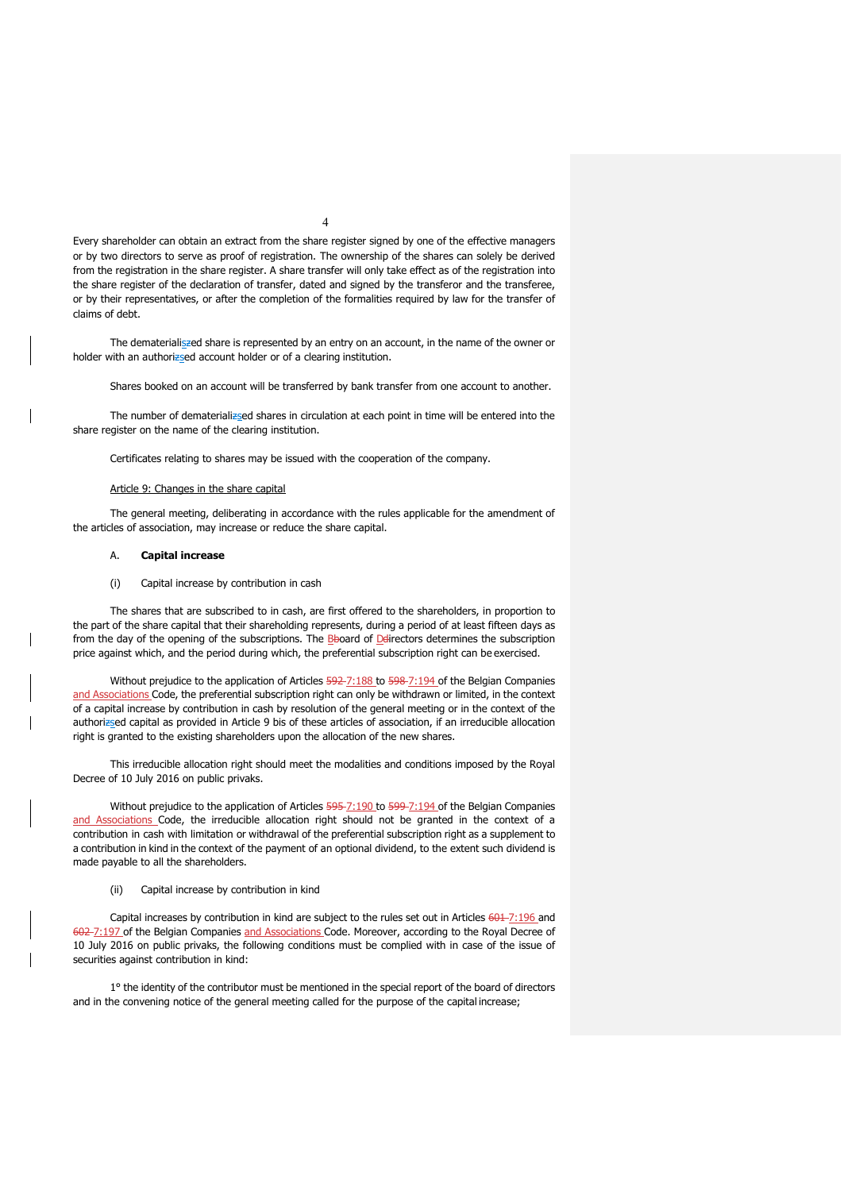Every shareholder can obtain an extract from the share register signed by one of the effective managers or by two directors to serve as proof of registration. The ownership of the shares can solely be derived from the registration in the share register. A share transfer will only take effect as of the registration into the share register of the declaration of transfer, dated and signed by the transferor and the transferee, or by their representatives, or after the completion of the formalities required by law for the transfer of claims of debt.

The dematerialiszed share is represented by an entry on an account, in the name of the owner or holder with an authorizsed account holder or of a clearing institution.

Shares booked on an account will be transferred by bank transfer from one account to another.

The number of dematerializsed shares in circulation at each point in time will be entered into the share register on the name of the clearing institution.

Certificates relating to shares may be issued with the cooperation of the company.

## Article 9: Changes in the share capital

The general meeting, deliberating in accordance with the rules applicable for the amendment of the articles of association, may increase or reduce the share capital.

## A. **Capital increase**

## (i) Capital increase by contribution in cash

The shares that are subscribed to in cash, are first offered to the shareholders, in proportion to the part of the share capital that their shareholding represents, during a period of at least fifteen days as from the day of the opening of the subscriptions. The Bboard of Ddirectors determines the subscription price against which, and the period during which, the preferential subscription right can be exercised.

Without prejudice to the application of Articles 592-7:188 to 598-7:194 of the Belgian Companies and Associations Code, the preferential subscription right can only be withdrawn or limited, in the context of a capital increase by contribution in cash by resolution of the general meeting or in the context of the authorizsed capital as provided in Article 9 bis of these articles of association, if an irreducible allocation right is granted to the existing shareholders upon the allocation of the new shares.

This irreducible allocation right should meet the modalities and conditions imposed by the Royal Decree of 10 July 2016 on public privaks.

Without prejudice to the application of Articles 595-7:190 to 599-7:194 of the Belgian Companies and Associations Code, the irreducible allocation right should not be granted in the context of a contribution in cash with limitation or withdrawal of the preferential subscription right as a supplement to a contribution in kind in the context of the payment of an optional dividend, to the extent such dividend is made payable to all the shareholders.

(ii) Capital increase by contribution in kind

Capital increases by contribution in kind are subject to the rules set out in Articles 601-7:196 and 602-7:197 of the Belgian Companies and Associations Code. Moreover, according to the Royal Decree of 10 July 2016 on public privaks, the following conditions must be complied with in case of the issue of securities against contribution in kind:

1° the identity of the contributor must be mentioned in the special report of the board of directors and in the convening notice of the general meeting called for the purpose of the capital increase;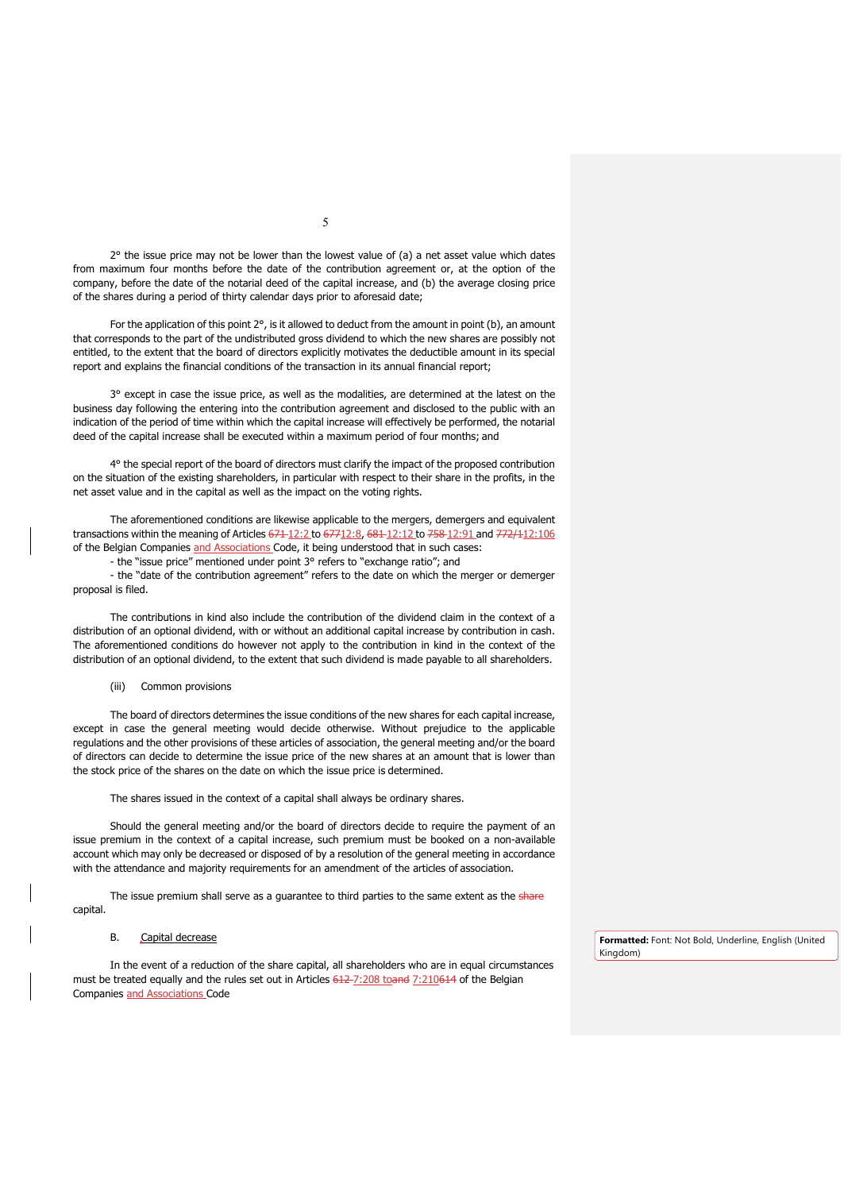$2^{\circ}$  the issue price may not be lower than the lowest value of (a) a net asset value which dates from maximum four months before the date of the contribution agreement or, at the option of the company, before the date of the notarial deed of the capital increase, and (b) the average closing price of the shares during a period of thirty calendar days prior to aforesaid date;

For the application of this point  $2^\circ$ , is it allowed to deduct from the amount in point (b), an amount that corresponds to the part of the undistributed gross dividend to which the new shares are possibly not entitled, to the extent that the board of directors explicitly motivates the deductible amount in its special report and explains the financial conditions of the transaction in its annual financial report;

3° except in case the issue price, as well as the modalities, are determined at the latest on the business day following the entering into the contribution agreement and disclosed to the public with an indication of the period of time within which the capital increase will effectively be performed, the notarial deed of the capital increase shall be executed within a maximum period of four months; and

4° the special report of the board of directors must clarify the impact of the proposed contribution on the situation of the existing shareholders, in particular with respect to their share in the profits, in the net asset value and in the capital as well as the impact on the voting rights.

The aforementioned conditions are likewise applicable to the mergers, demergers and equivalent transactions within the meaning of Articles 671-12:2 to 67712:8, 681-12:12 to 758-12:91 and 772/112:106 of the Belgian Companies and Associations Code, it being understood that in such cases:

- the "issue price" mentioned under point 3° refers to "exchange ratio"; and

- the "date of the contribution agreement" refers to the date on which the merger or demerger proposal is filed.

The contributions in kind also include the contribution of the dividend claim in the context of a distribution of an optional dividend, with or without an additional capital increase by contribution in cash. The aforementioned conditions do however not apply to the contribution in kind in the context of the distribution of an optional dividend, to the extent that such dividend is made payable to all shareholders.

### (iii) Common provisions

The board of directors determines the issue conditions of the new shares for each capital increase, except in case the general meeting would decide otherwise. Without prejudice to the applicable regulations and the other provisions of these articles of association, the general meeting and/or the board of directors can decide to determine the issue price of the new shares at an amount that is lower than the stock price of the shares on the date on which the issue price is determined.

The shares issued in the context of a capital shall always be ordinary shares.

Should the general meeting and/or the board of directors decide to require the payment of an issue premium in the context of a capital increase, such premium must be booked on a non-available account which may only be decreased or disposed of by a resolution of the general meeting in accordance with the attendance and majority requirements for an amendment of the articles of association.

The issue premium shall serve as a guarantee to third parties to the same extent as the share capital.

## B. Capital decrease

In the event of a reduction of the share capital, all shareholders who are in equal circumstances must be treated equally and the rules set out in Articles 612-7:208 toand 7:210614 of the Belgian Companies and Associations Code

**Formatted:** Font: Not Bold, Underline, English (United Kingdom)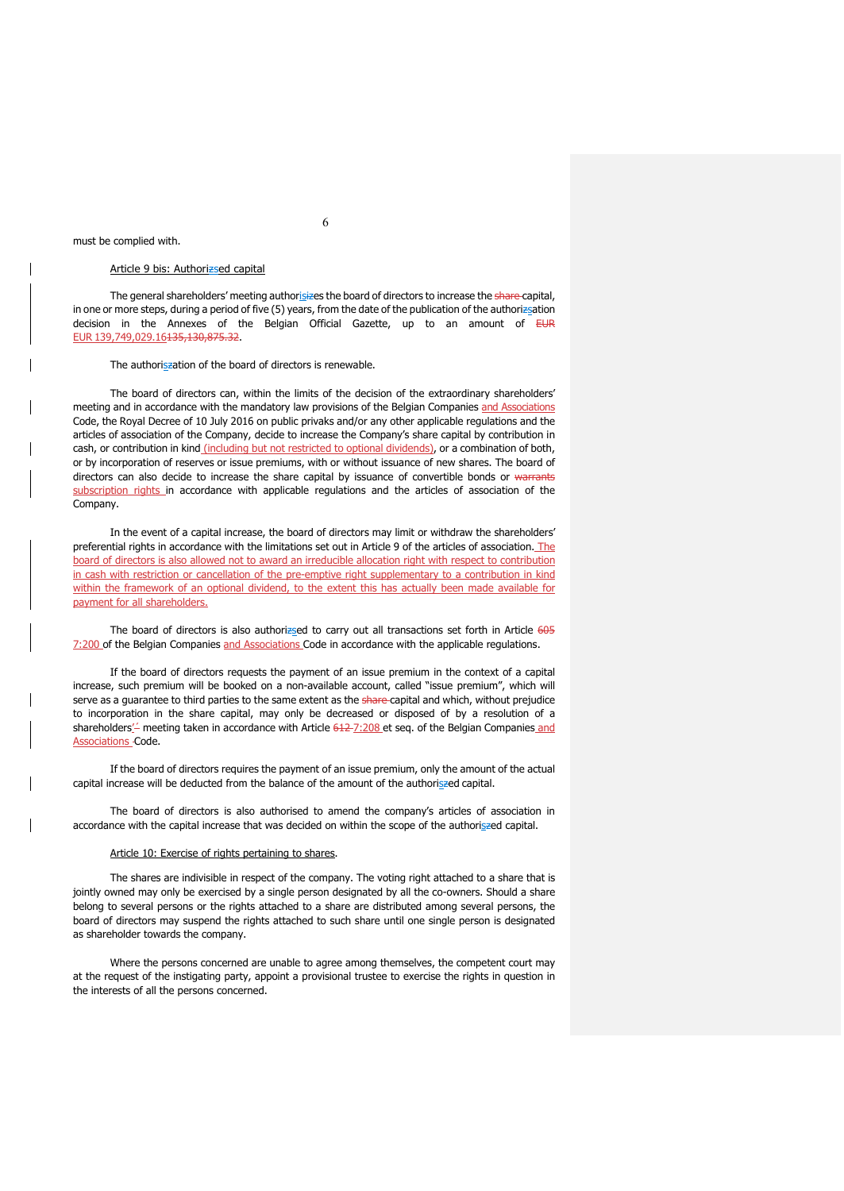## must be complied with.

## Article 9 bis: Authorizsed capital

The general shareholders' meeting authorisizes the board of directors to increase the share-capital, in one or more steps, during a period of five (5) years, from the date of the publication of the authorizsation decision in the Annexes of the Belgian Official Gazette, up to an amount of EUR EUR 139,749,029.16135,130,875.32.

The authoriszation of the board of directors is renewable.

The board of directors can, within the limits of the decision of the extraordinary shareholders' meeting and in accordance with the mandatory law provisions of the Belgian Companies and Associations Code, the Royal Decree of 10 July 2016 on public privaks and/or any other applicable regulations and the articles of association of the Company, decide to increase the Company's share capital by contribution in cash, or contribution in kind (including but not restricted to optional dividends), or a combination of both, or by incorporation of reserves or issue premiums, with or without issuance of new shares. The board of directors can also decide to increase the share capital by issuance of convertible bonds or warrants subscription rights in accordance with applicable regulations and the articles of association of the Company.

In the event of a capital increase, the board of directors may limit or withdraw the shareholders' preferential rights in accordance with the limitations set out in Article 9 of the articles of association. The board of directors is also allowed not to award an irreducible allocation right with respect to contribution in cash with restriction or cancellation of the pre-emptive right supplementary to a contribution in kind within the framework of an optional dividend, to the extent this has actually been made available for payment for all shareholders.

The board of directors is also authorizsed to carry out all transactions set forth in Article 605 7:200 of the Belgian Companies and Associations Code in accordance with the applicable regulations.

If the board of directors requests the payment of an issue premium in the context of a capital increase, such premium will be booked on a non-available account, called "issue premium", which will serve as a guarantee to third parties to the same extent as the share-capital and which, without prejudice to incorporation in the share capital, may only be decreased or disposed of by a resolution of a shareholders'<sup>'</sup> meeting taken in accordance with Article 612-7:208 et seq. of the Belgian Companies and **Associations Code.** 

If the board of directors requires the payment of an issue premium, only the amount of the actual capital increase will be deducted from the balance of the amount of the authoriszed capital.

The board of directors is also authorised to amend the company's articles of association in accordance with the capital increase that was decided on within the scope of the authoriszed capital.

## Article 10: Exercise of rights pertaining to shares.

The shares are indivisible in respect of the company. The voting right attached to a share that is jointly owned may only be exercised by a single person designated by all the co-owners. Should a share belong to several persons or the rights attached to a share are distributed among several persons, the board of directors may suspend the rights attached to such share until one single person is designated as shareholder towards the company.

Where the persons concerned are unable to agree among themselves, the competent court may at the request of the instigating party, appoint a provisional trustee to exercise the rights in question in the interests of all the persons concerned.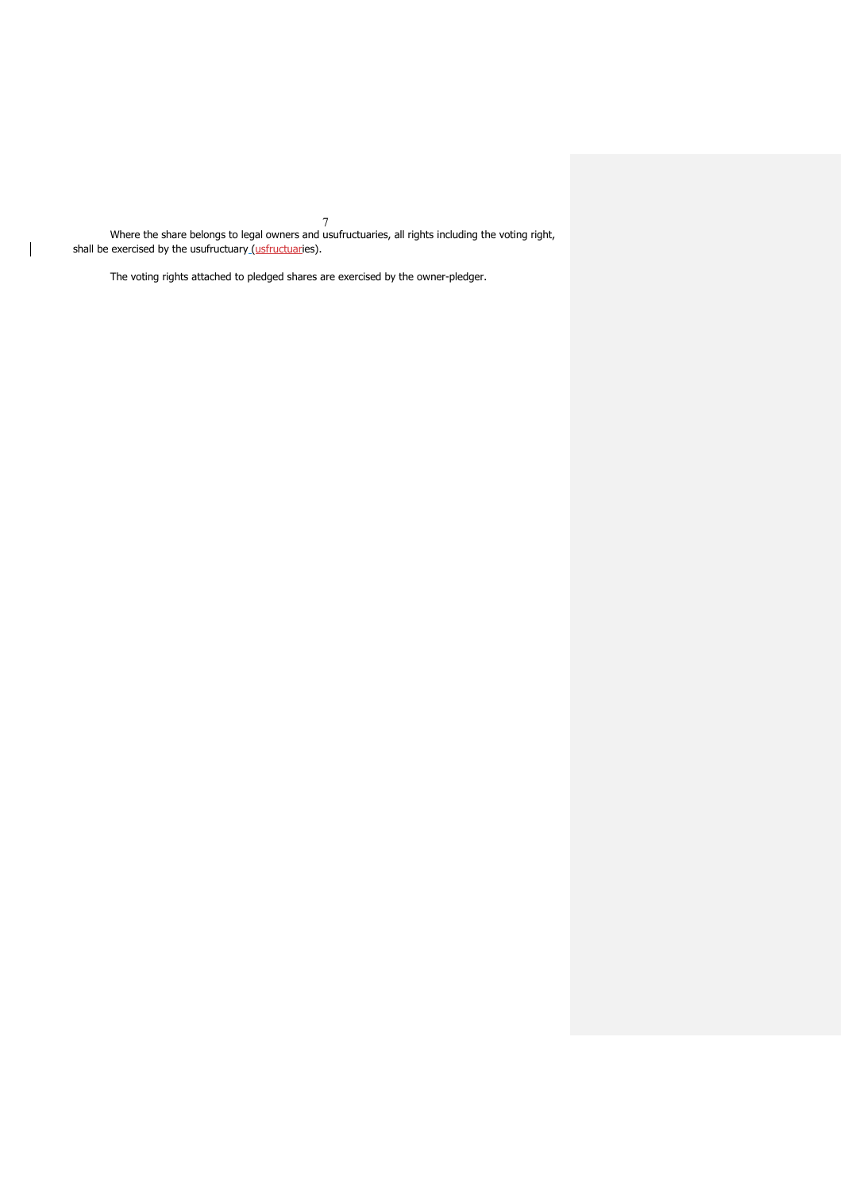7 Where the share belongs to legal owners and usufructuaries, all rights including the voting right, shall be exercised by the usufructuary<u> (usfructuar</u>ies).

The voting rights attached to pledged shares are exercised by the owner-pledger.

 $\mathsf{l}$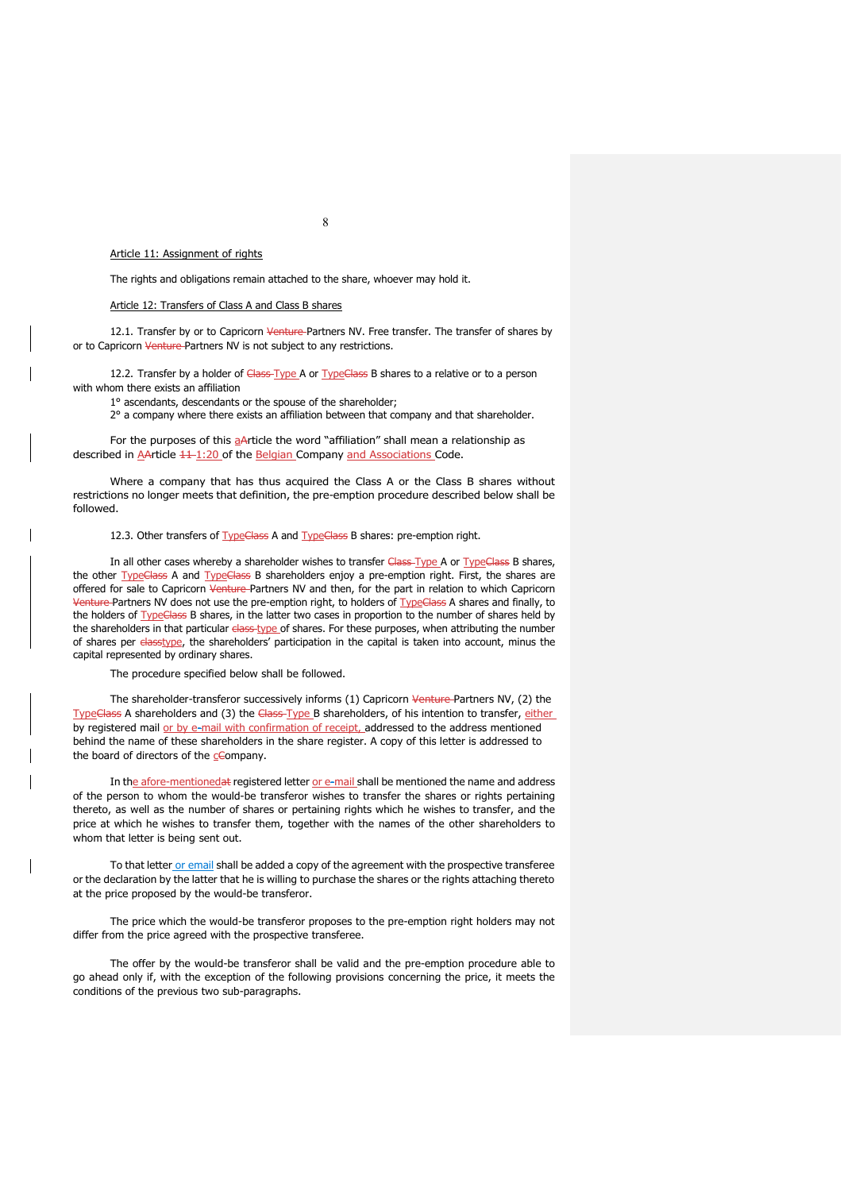## Article 11: Assignment of rights

The rights and obligations remain attached to the share, whoever may hold it.

## Article 12: Transfers of Class A and Class B shares

12.1. Transfer by or to Capricorn Venture Partners NV. Free transfer. The transfer of shares by or to Capricorn Venture-Partners NV is not subject to any restrictions.

12.2. Transfer by a holder of Class-Type A or TypeClass B shares to a relative or to a person with whom there exists an affiliation

1° ascendants, descendants or the spouse of the shareholder;

2° a company where there exists an affiliation between that company and that shareholder.

For the purposes of this a Article the word "affiliation" shall mean a relationship as described in AArticle  $\frac{11 \cdot 1:20}{1}$  of the Belgian Company and Associations Code.

Where a company that has thus acquired the Class A or the Class B shares without restrictions no longer meets that definition, the pre-emption procedure described below shall be followed.

12.3. Other transfers of TypeClass A and TypeClass B shares: pre-emption right.

In all other cases whereby a shareholder wishes to transfer Class-Type A or TypeClass B shares, the other TypeClass A and TypeClass B shareholders enjoy a pre-emption right. First, the shares are offered for sale to Capricorn Venture Partners NV and then, for the part in relation to which Capricorn Venture Partners NV does not use the pre-emption right, to holders of TypeGlass A shares and finally, to the holders of TypeClass B shares, in the latter two cases in proportion to the number of shares held by the shareholders in that particular elass type of shares. For these purposes, when attributing the number of shares per classtype, the shareholders' participation in the capital is taken into account, minus the capital represented by ordinary shares.

The procedure specified below shall be followed.

The shareholder-transferor successively informs (1) Capricorn Venture Partners NV, (2) the TypeClass A shareholders and (3) the Class-Type B shareholders, of his intention to transfer, either by registered mail or by e-mail with confirmation of receipt, addressed to the address mentioned behind the name of these shareholders in the share register. A copy of this letter is addressed to the board of directors of the cCompany.

In the afore-mentionedat registered letter or e-mail shall be mentioned the name and address of the person to whom the would-be transferor wishes to transfer the shares or rights pertaining thereto, as well as the number of shares or pertaining rights which he wishes to transfer, and the price at which he wishes to transfer them, together with the names of the other shareholders to whom that letter is being sent out.

To that letter or email shall be added a copy of the agreement with the prospective transferee or the declaration by the latter that he is willing to purchase the shares or the rights attaching thereto at the price proposed by the would-be transferor.

The price which the would-be transferor proposes to the pre-emption right holders may not differ from the price agreed with the prospective transferee.

The offer by the would-be transferor shall be valid and the pre-emption procedure able to go ahead only if, with the exception of the following provisions concerning the price, it meets the conditions of the previous two sub-paragraphs.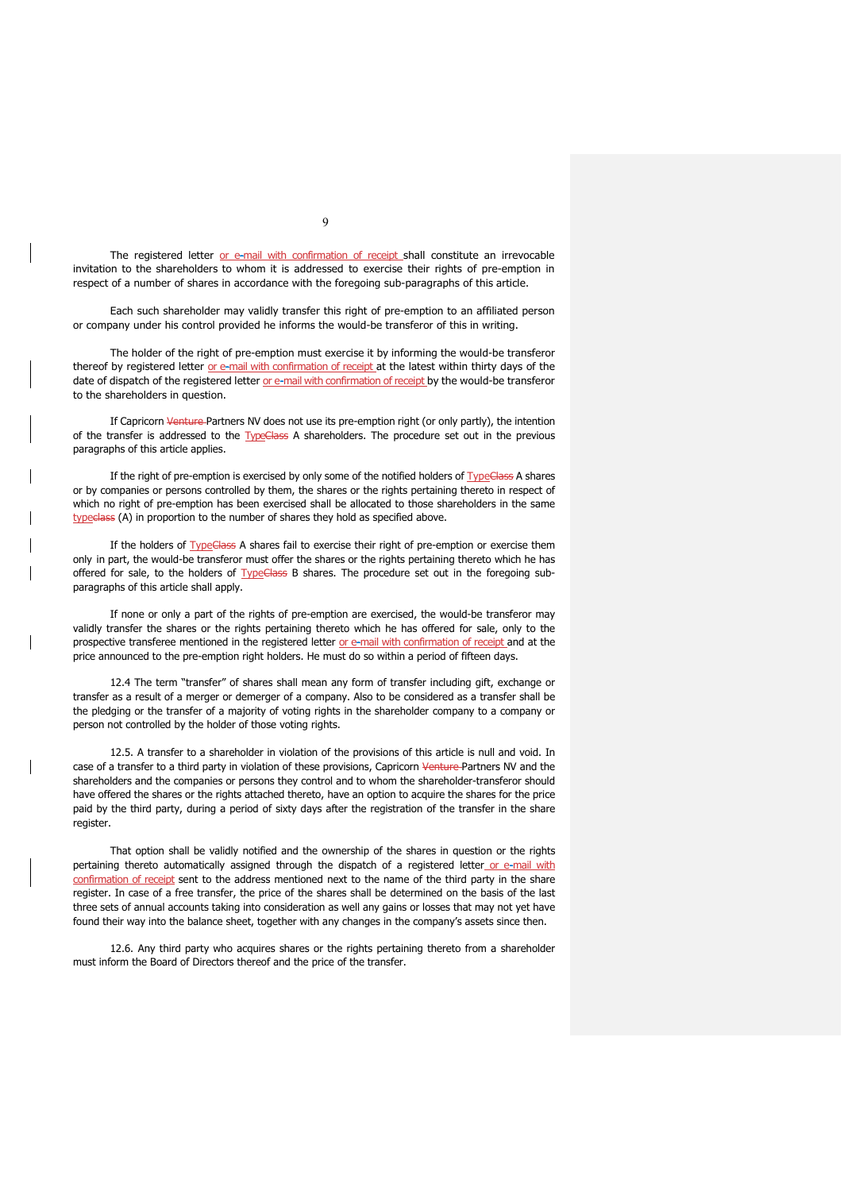The registered letter or e-mail with confirmation of receipt shall constitute an irrevocable invitation to the shareholders to whom it is addressed to exercise their rights of pre-emption in respect of a number of shares in accordance with the foregoing sub-paragraphs of this article.

Each such shareholder may validly transfer this right of pre-emption to an affiliated person or company under his control provided he informs the would-be transferor of this in writing.

The holder of the right of pre-emption must exercise it by informing the would-be transferor thereof by registered letter or e-mail with confirmation of receipt at the latest within thirty days of the date of dispatch of the registered letter or e-mail with confirmation of receipt by the would-be transferor to the shareholders in question.

If Capricorn Venture Partners NV does not use its pre-emption right (or only partly), the intention of the transfer is addressed to the TypeClass A shareholders. The procedure set out in the previous paragraphs of this article applies.

If the right of pre-emption is exercised by only some of the notified holders of TypeClass A shares or by companies or persons controlled by them, the shares or the rights pertaining thereto in respect of which no right of pre-emption has been exercised shall be allocated to those shareholders in the same typeclass (A) in proportion to the number of shares they hold as specified above.

If the holders of **TypeClass** A shares fail to exercise their right of pre-emption or exercise them only in part, the would-be transferor must offer the shares or the rights pertaining thereto which he has offered for sale, to the holders of **TypeClass** B shares. The procedure set out in the foregoing subparagraphs of this article shall apply.

If none or only a part of the rights of pre-emption are exercised, the would-be transferor may validly transfer the shares or the rights pertaining thereto which he has offered for sale, only to the prospective transferee mentioned in the registered letter or e-mail with confirmation of receipt and at the price announced to the pre-emption right holders. He must do so within a period of fifteen days.

12.4 The term "transfer" of shares shall mean any form of transfer including gift, exchange or transfer as a result of a merger or demerger of a company. Also to be considered as a transfer shall be the pledging or the transfer of a majority of voting rights in the shareholder company to a company or person not controlled by the holder of those voting rights.

12.5. A transfer to a shareholder in violation of the provisions of this article is null and void. In case of a transfer to a third party in violation of these provisions, Capricorn Venture Partners NV and the shareholders and the companies or persons they control and to whom the shareholder-transferor should have offered the shares or the rights attached thereto, have an option to acquire the shares for the price paid by the third party, during a period of sixty days after the registration of the transfer in the share register.

That option shall be validly notified and the ownership of the shares in question or the rights pertaining thereto automatically assigned through the dispatch of a registered letter or e-mail with confirmation of receipt sent to the address mentioned next to the name of the third party in the share register. In case of a free transfer, the price of the shares shall be determined on the basis of the last three sets of annual accounts taking into consideration as well any gains or losses that may not yet have found their way into the balance sheet, together with any changes in the company's assets since then.

12.6. Any third party who acquires shares or the rights pertaining thereto from a shareholder must inform the Board of Directors thereof and the price of the transfer.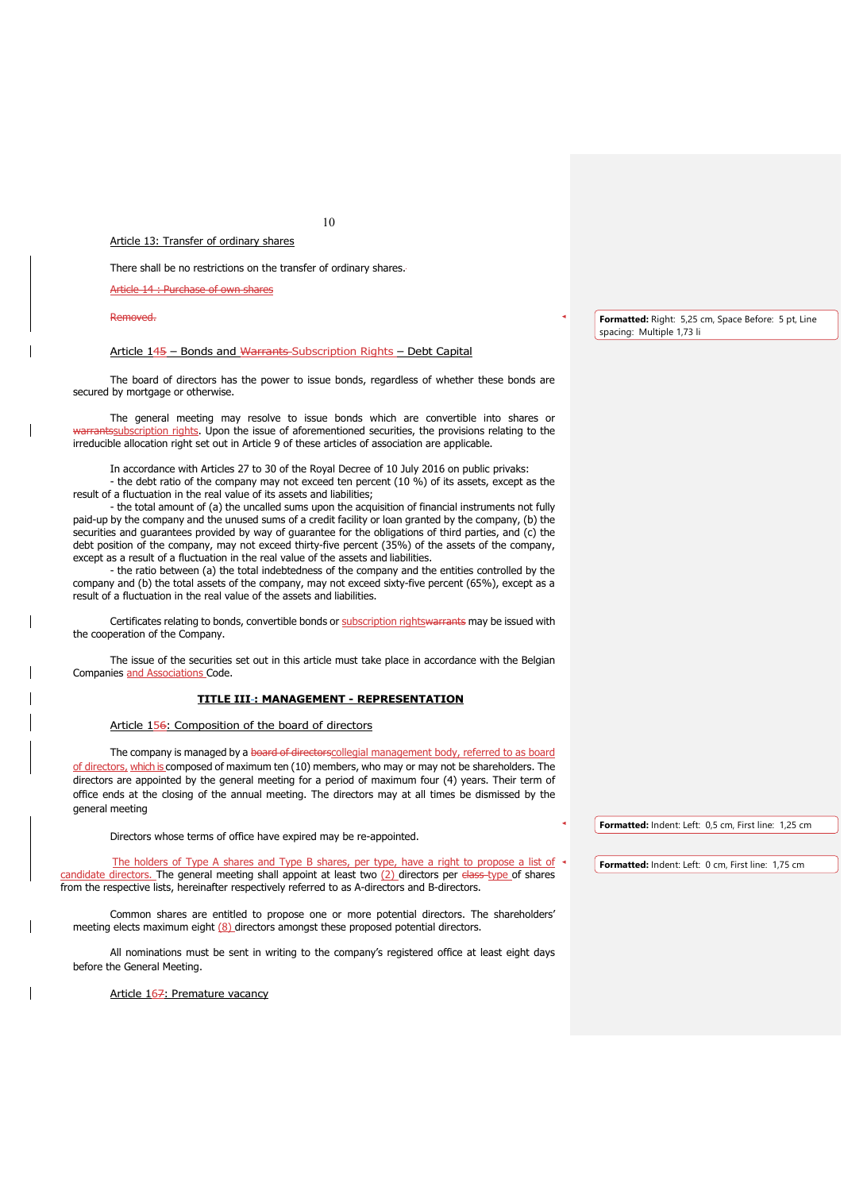Article 13: Transfer of ordinary shares

There shall be no restrictions on the transfer of ordinary shares.

Article 14 : Purchase of own shares

#### Removed.

## Article 145 – Bonds and Warrants Subscription Rights – Debt Capital

The board of directors has the power to issue bonds, regardless of whether these bonds are secured by mortgage or otherwise.

The general meeting may resolve to issue bonds which are convertible into shares or warrantssubscription rights. Upon the issue of aforementioned securities, the provisions relating to the irreducible allocation right set out in Article 9 of these articles of association are applicable.

In accordance with Articles 27 to 30 of the Royal Decree of 10 July 2016 on public privaks:

- the debt ratio of the company may not exceed ten percent (10 %) of its assets, except as the result of a fluctuation in the real value of its assets and liabilities;

- the total amount of (a) the uncalled sums upon the acquisition of financial instruments not fully paid-up by the company and the unused sums of a credit facility or loan granted by the company, (b) the securities and guarantees provided by way of guarantee for the obligations of third parties, and (c) the debt position of the company, may not exceed thirty-five percent (35%) of the assets of the company, except as a result of a fluctuation in the real value of the assets and liabilities.

- the ratio between (a) the total indebtedness of the company and the entities controlled by the company and (b) the total assets of the company, may not exceed sixty-five percent (65%), except as a result of a fluctuation in the real value of the assets and liabilities.

Certificates relating to bonds, convertible bonds or subscription rightswarrants may be issued with the cooperation of the Company.

The issue of the securities set out in this article must take place in accordance with the Belgian Companies and Associations Code.

## **TITLE III : MANAGEMENT - REPRESENTATION**

### Article 156: Composition of the board of directors

The company is managed by a board of directorscollegial management body, referred to as board of directors, which is composed of maximum ten (10) members, who may or may not be shareholders. The directors are appointed by the general meeting for a period of maximum four (4) years. Their term of office ends at the closing of the annual meeting. The directors may at all times be dismissed by the general meeting

Directors whose terms of office have expired may be re-appointed.

The holders of Type A shares and Type B shares, per type, have a right to propose a list of candidate directors. The general meeting shall appoint at least two (2) directors per class type of shares from the respective lists, hereinafter respectively referred to as A-directors and B-directors.

Common shares are entitled to propose one or more potential directors. The shareholders' meeting elects maximum eight  $(8)$  directors amongst these proposed potential directors.

All nominations must be sent in writing to the company's registered office at least eight days before the General Meeting.

Article 167: Premature vacancy

**Formatted:** Right: 5,25 cm, Space Before: 5 pt, Line spacing: Multiple 1,73 li

**Formatted:** Indent: Left: 0,5 cm, First line: 1,25 cm

**Formatted:** Indent: Left: 0 cm, First line: 1,75 cm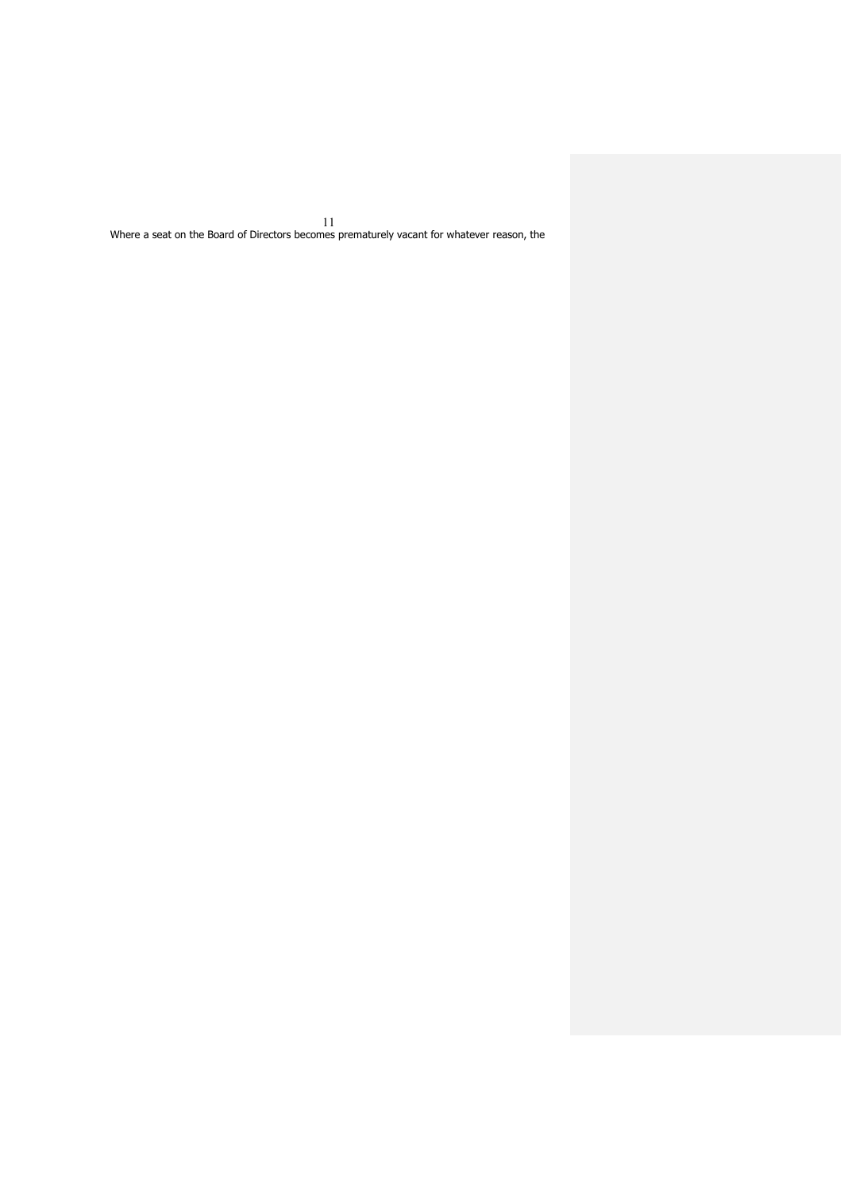11 Where a seat on the Board of Directors becomes prematurely vacant for whatever reason, the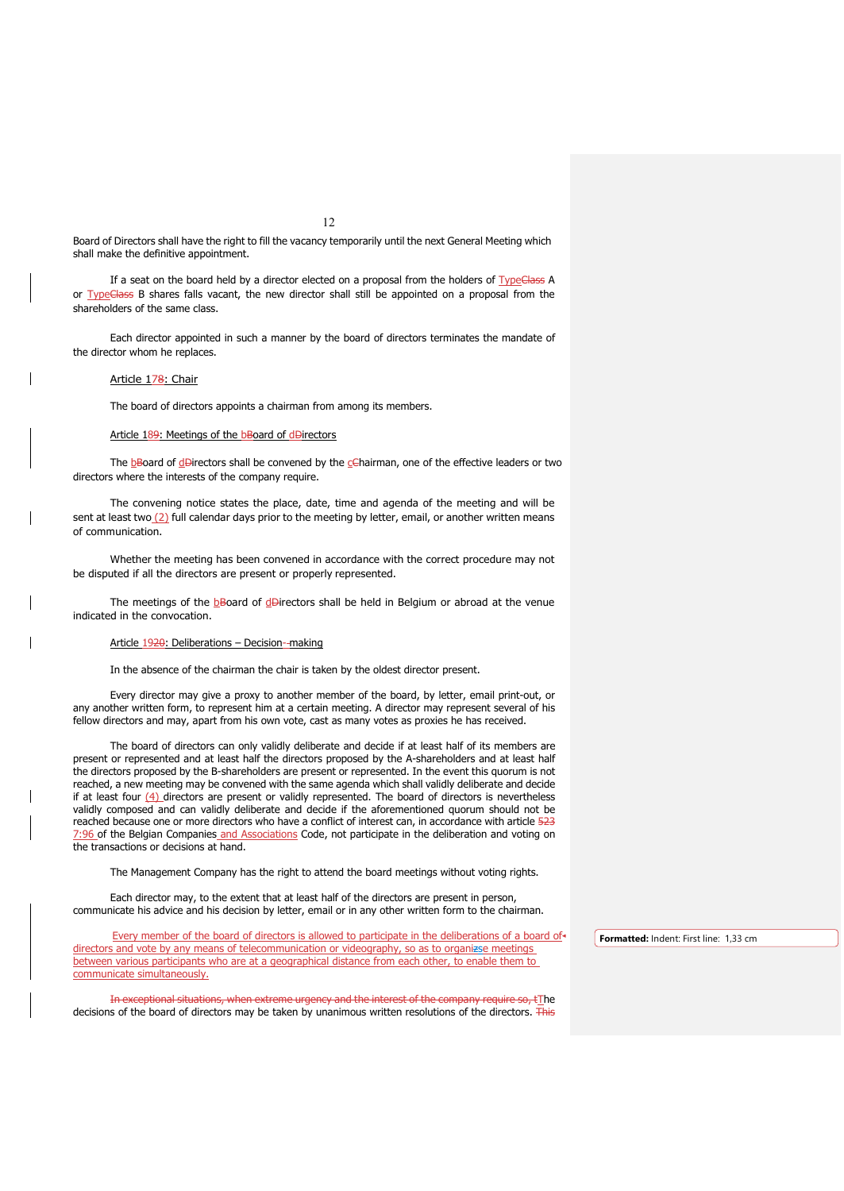12

Board of Directors shall have the right to fill the vacancy temporarily until the next General Meeting which shall make the definitive appointment.

If a seat on the board held by a director elected on a proposal from the holders of TypeClass A or TypeClass B shares falls vacant, the new director shall still be appointed on a proposal from the shareholders of the same class.

Each director appointed in such a manner by the board of directors terminates the mandate of the director whom he replaces.

Article 178: Chair

The board of directors appoints a chairman from among its members.

## Article 189: Meetings of the bBoard of dDirectors

The  $b$ Board of  $d$ Birectors shall be convened by the  $c$ Chairman, one of the effective leaders or two directors where the interests of the company require.

The convening notice states the place, date, time and agenda of the meeting and will be sent at least two $(2)$  full calendar days prior to the meeting by letter, email, or another written means of communication.

Whether the meeting has been convened in accordance with the correct procedure may not be disputed if all the directors are present or properly represented.

The meetings of the  $b$ Board of  $d$ Birectors shall be held in Belgium or abroad at the venue indicated in the convocation.

## Article 1920: Deliberations - Decision--making

In the absence of the chairman the chair is taken by the oldest director present.

Every director may give a proxy to another member of the board, by letter, email print-out, or any another written form, to represent him at a certain meeting. A director may represent several of his fellow directors and may, apart from his own vote, cast as many votes as proxies he has received.

The board of directors can only validly deliberate and decide if at least half of its members are present or represented and at least half the directors proposed by the A-shareholders and at least half the directors proposed by the B-shareholders are present or represented. In the event this quorum is not reached, a new meeting may be convened with the same agenda which shall validly deliberate and decide if at least four  $(4)$  directors are present or validly represented. The board of directors is nevertheless validly composed and can validly deliberate and decide if the aforementioned quorum should not be reached because one or more directors who have a conflict of interest can, in accordance with article 523 7:96 of the Belgian Companies and Associations Code, not participate in the deliberation and voting on the transactions or decisions at hand.

The Management Company has the right to attend the board meetings without voting rights.

Each director may, to the extent that at least half of the directors are present in person, communicate his advice and his decision by letter, email or in any other written form to the chairman.

Every member of the board of directors is allowed to participate in the deliberations of a board ofdirectors and vote by any means of telecommunication or videography, so as to organizse meetings between various participants who are at a geographical distance from each other, to enable them to communicate simultaneously.

In exceptional situations, when extreme urgency and the interest of the company require so, tThe decisions of the board of directors may be taken by unanimous written resolutions of the directors. This

**Formatted:** Indent: First line: 1,33 cm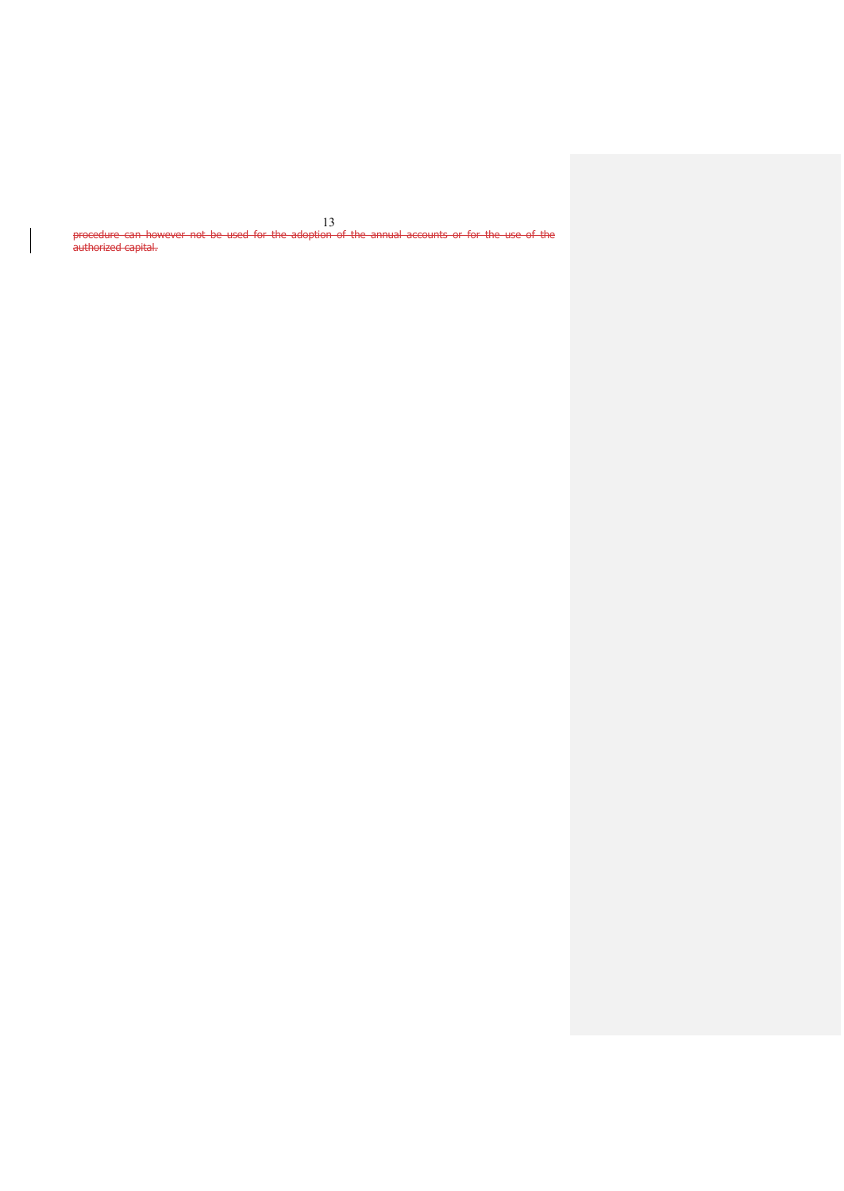13<br>i<del>on of the annual accounts or for the use of the</del> procedure can however not be used for the adoption authorized capital.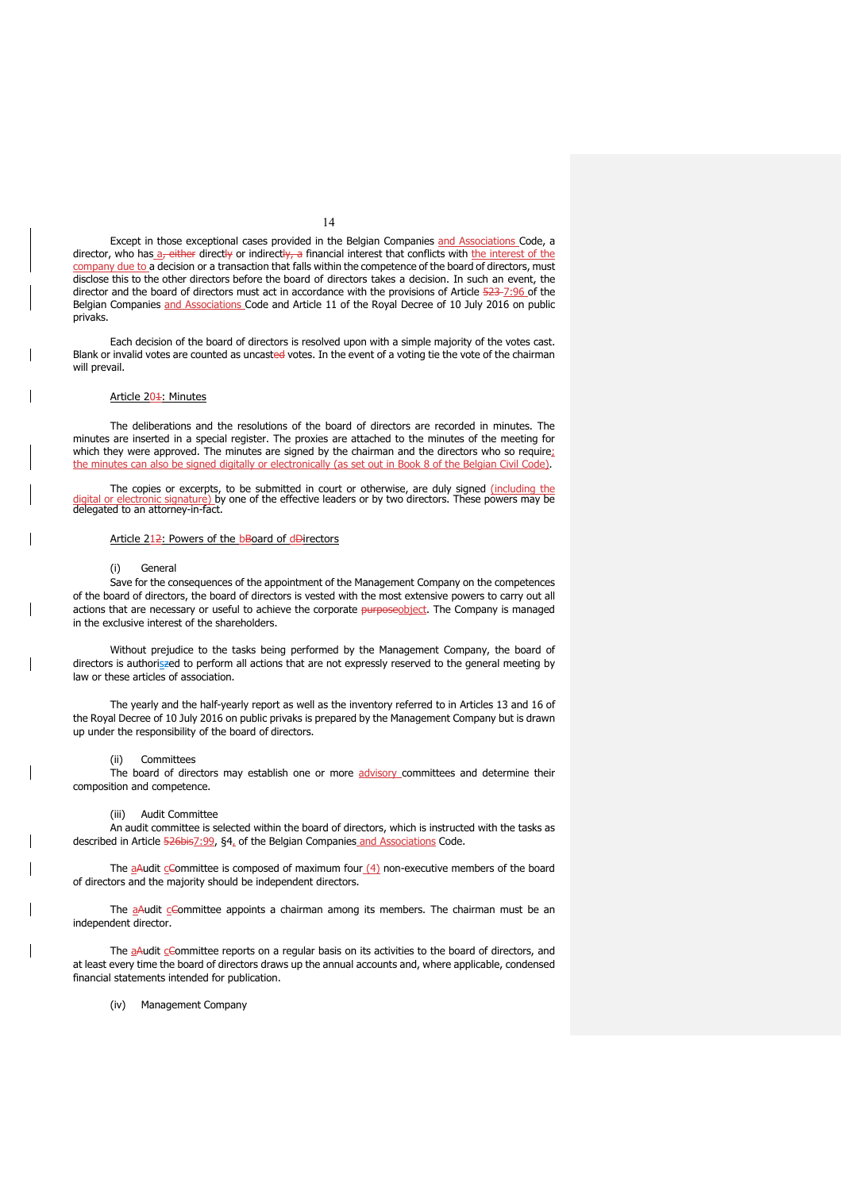Except in those exceptional cases provided in the Belgian Companies and Associations Code, a director, who has a-either directly or indirectly, a financial interest that conflicts with the interest of the company due to a decision or a transaction that falls within the competence of the board of directors, must disclose this to the other directors before the board of directors takes a decision. In such an event, the director and the board of directors must act in accordance with the provisions of Article 523-7:96 of the Belgian Companies and Associations Code and Article 11 of the Royal Decree of 10 July 2016 on public privaks.

Each decision of the board of directors is resolved upon with a simple majority of the votes cast. Blank or invalid votes are counted as uncasted votes. In the event of a voting tie the vote of the chairman will prevail.

## Article 201: Minutes

The deliberations and the resolutions of the board of directors are recorded in minutes. The minutes are inserted in a special register. The proxies are attached to the minutes of the meeting for which they were approved. The minutes are signed by the chairman and the directors who so require; the minutes can also be signed digitally or electronically (as set out in Book 8 of the Belgian Civil Code).

The copies or excerpts, to be submitted in court or otherwise, are duly signed <u>(including the "</u><br>d<u>igital or electronic signature)</u> by one of the effective leaders or by two directors. These powers may be digital or electronic signature) by delegated to an attorney-in-fact.

## Article 212: Powers of the bBoard of dDirectors

#### (i) General

Save for the consequences of the appointment of the Management Company on the competences of the board of directors, the board of directors is vested with the most extensive powers to carry out all actions that are necessary or useful to achieve the corporate purposeobject. The Company is managed in the exclusive interest of the shareholders.

Without prejudice to the tasks being performed by the Management Company, the board of directors is authoriszed to perform all actions that are not expressly reserved to the general meeting by law or these articles of association.

The yearly and the half-yearly report as well as the inventory referred to in Articles 13 and 16 of the Royal Decree of 10 July 2016 on public privaks is prepared by the Management Company but is drawn up under the responsibility of the board of directors.

### (ii) Committees

The board of directors may establish one or more advisory committees and determine their composition and competence.

### (iii) Audit Committee

An audit committee is selected within the board of directors, which is instructed with the tasks as described in Article 526bis7:99, §4, of the Belgian Companies and Associations Code.

The  $aA$ udit cCommittee is composed of maximum four  $(4)$  non-executive members of the board of directors and the majority should be independent directors.

The  $a$ Audit  $c$ Committee appoints a chairman among its members. The chairman must be an independent director.

The aAudit cCommittee reports on a regular basis on its activities to the board of directors, and at least every time the board of directors draws up the annual accounts and, where applicable, condensed financial statements intended for publication.

(iv) Management Company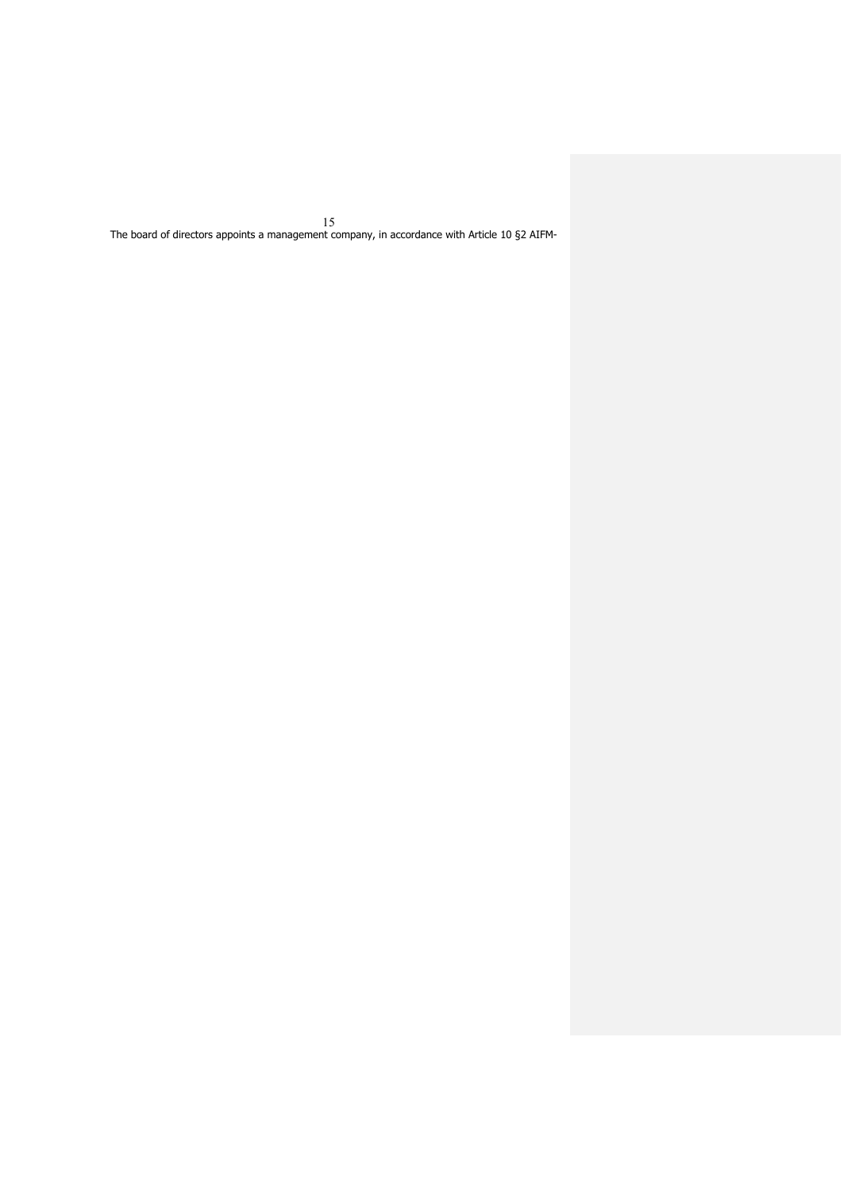The board of directors appoints a management company, in accordance with Article 10 §2 AIFM-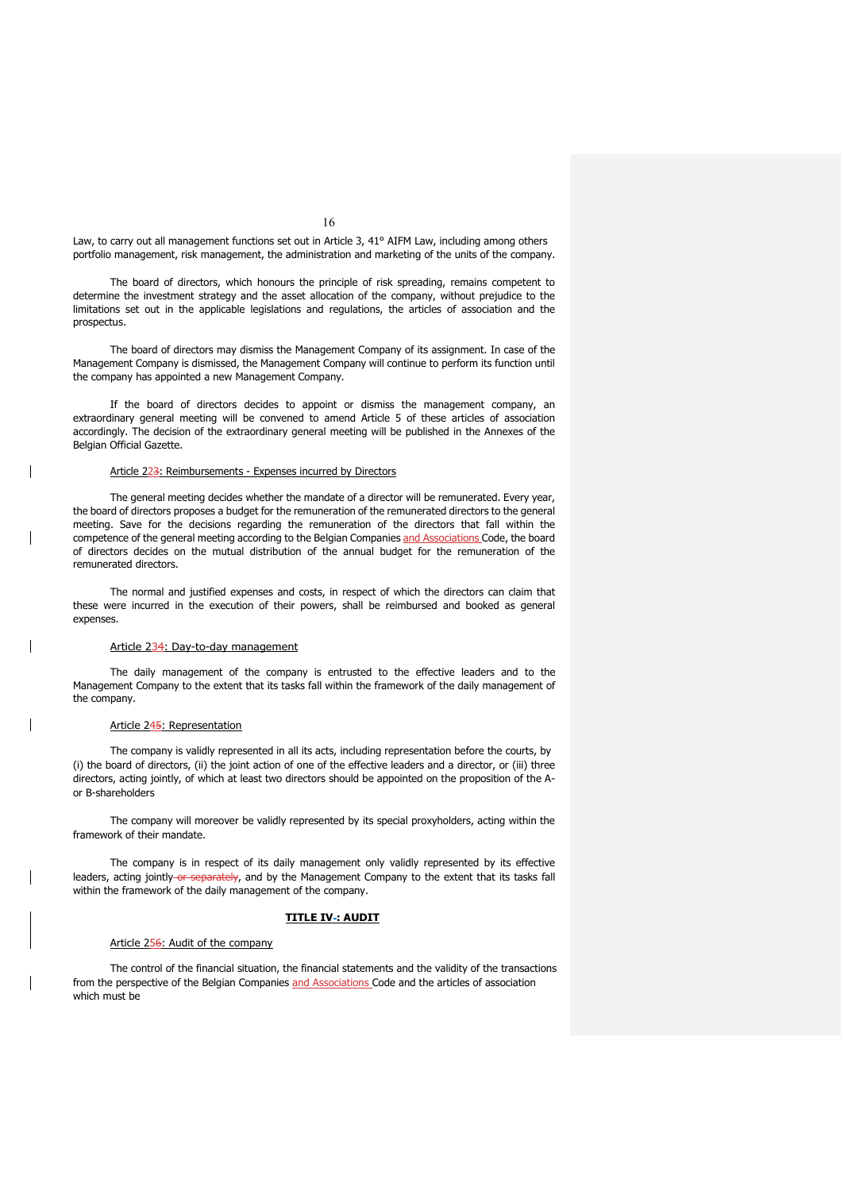Law, to carry out all management functions set out in Article 3, 41° AIFM Law, including among others portfolio management, risk management, the administration and marketing of the units of the company.

The board of directors, which honours the principle of risk spreading, remains competent to determine the investment strategy and the asset allocation of the company, without prejudice to the limitations set out in the applicable legislations and regulations, the articles of association and the prospectus.

The board of directors may dismiss the Management Company of its assignment. In case of the Management Company is dismissed, the Management Company will continue to perform its function until the company has appointed a new Management Company.

If the board of directors decides to appoint or dismiss the management company, an extraordinary general meeting will be convened to amend Article 5 of these articles of association accordingly. The decision of the extraordinary general meeting will be published in the Annexes of the Belgian Official Gazette.

## Article 223: Reimbursements - Expenses incurred by Directors

The general meeting decides whether the mandate of a director will be remunerated. Every year, the board of directors proposes a budget for the remuneration of the remunerated directors to the general meeting. Save for the decisions regarding the remuneration of the directors that fall within the competence of the general meeting according to the Belgian Companies and Associations Code, the board of directors decides on the mutual distribution of the annual budget for the remuneration of the remunerated directors.

The normal and justified expenses and costs, in respect of which the directors can claim that these were incurred in the execution of their powers, shall be reimbursed and booked as general expenses.

#### Article 234: Day-to-day management

The daily management of the company is entrusted to the effective leaders and to the Management Company to the extent that its tasks fall within the framework of the daily management of the company.

### Article 245: Representation

The company is validly represented in all its acts, including representation before the courts, by (i) the board of directors, (ii) the joint action of one of the effective leaders and a director, or (iii) three directors, acting jointly, of which at least two directors should be appointed on the proposition of the Aor B-shareholders

The company will moreover be validly represented by its special proxyholders, acting within the framework of their mandate.

The company is in respect of its daily management only validly represented by its effective leaders, acting jointly-or separately, and by the Management Company to the extent that its tasks fall within the framework of the daily management of the company.

## **TITLE IV : AUDIT**

## Article 256: Audit of the company

The control of the financial situation, the financial statements and the validity of the transactions from the perspective of the Belgian Companies and Associations Code and the articles of association which must be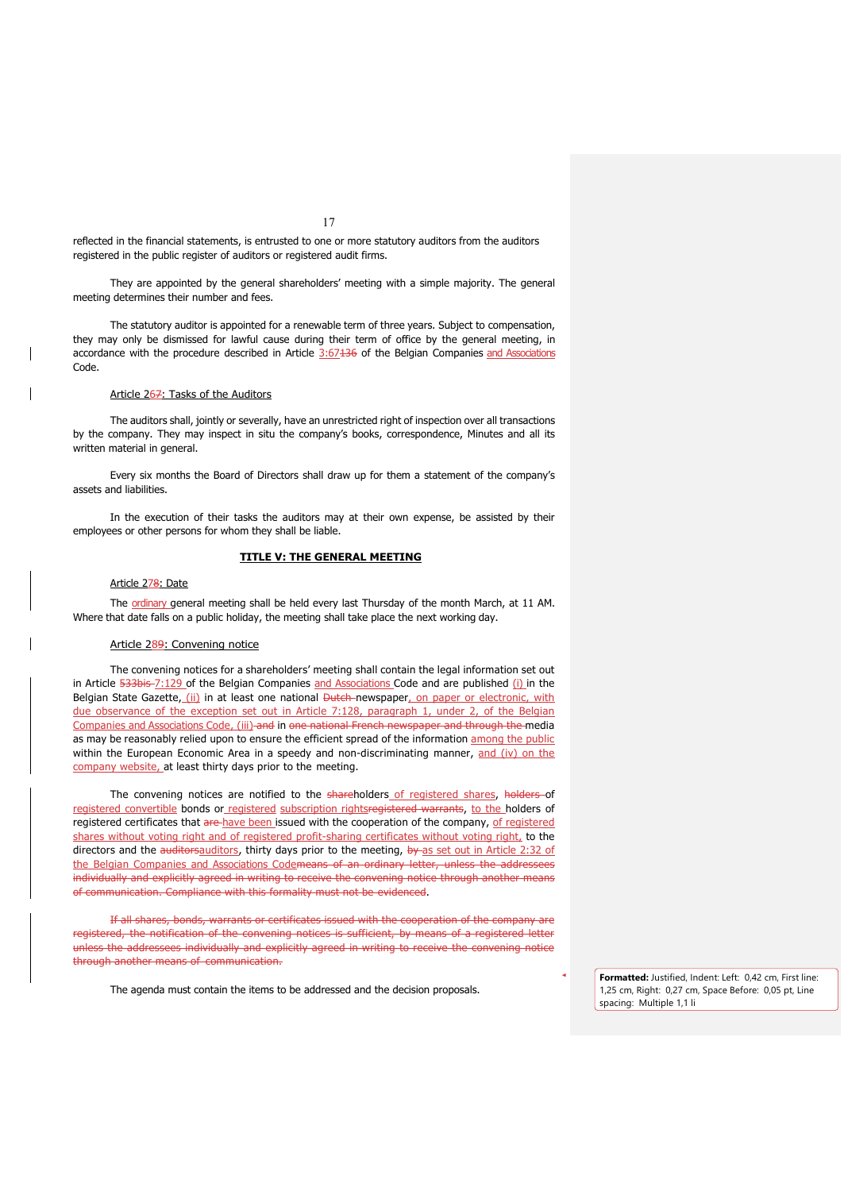reflected in the financial statements, is entrusted to one or more statutory auditors from the auditors registered in the public register of auditors or registered audit firms.

They are appointed by the general shareholders' meeting with a simple majority. The general meeting determines their number and fees.

The statutory auditor is appointed for a renewable term of three years. Subject to compensation, they may only be dismissed for lawful cause during their term of office by the general meeting, in accordance with the procedure described in Article 3:67436 of the Belgian Companies and Associations Code.

## Article 267: Tasks of the Auditors

The auditors shall, jointly or severally, have an unrestricted right of inspection over all transactions by the company. They may inspect in situ the company's books, correspondence, Minutes and all its written material in general.

Every six months the Board of Directors shall draw up for them a statement of the company's assets and liabilities.

In the execution of their tasks the auditors may at their own expense, be assisted by their employees or other persons for whom they shall be liable.

## **TITLE V: THE GENERAL MEETING**

## Article 278: Date

The ordinary general meeting shall be held every last Thursday of the month March, at 11 AM. Where that date falls on a public holiday, the meeting shall take place the next working day.

### Article 289: Convening notice

The convening notices for a shareholders' meeting shall contain the legal information set out in Article 533bis 7:129 of the Belgian Companies and Associations Code and are published (i) in the Belgian State Gazette, (ii) in at least one national Dutch-newspaper, on paper or electronic, with due observance of the exception set out in Article 7:128, paragraph 1, under 2, of the Belgian Companies and Associations Code, (iii) and in one national French newspaper and through the media as may be reasonably relied upon to ensure the efficient spread of the information among the public within the European Economic Area in a speedy and non-discriminating manner,  $and (iv)$  on the company website, at least thirty days prior to the meeting.

The convening notices are notified to the shareholders of registered shares, holders of registered convertible bonds or registered subscription rightsregistered warrants, to the holders of registered certificates that are have been issued with the cooperation of the company, of registered shares without voting right and of registered profit-sharing certificates without voting right, to the directors and the auditorsauditors, thirty days prior to the meeting, by as set out in Article 2:32 of the Belgian Companies and Associations Codemeans of an ordinary letter, unless the addressees individually and explicitly agreed in writing to receive the convening notice through another means of communication. Compliance with this formality must not be evidenced.

If all shares, bonds, warrants or certificates issued with the cooperation of the company are registered, the notification of the convening notices is sufficient, by means of a registered letter unless the addressees individually and explicitly agreed in writing to receive the convening notice through another means of communication.

The agenda must contain the items to be addressed and the decision proposals.

**Formatted:** Justified, Indent: Left: 0,42 cm, First line: 1,25 cm, Right: 0,27 cm, Space Before: 0,05 pt, Line spacing: Multiple 1,1 li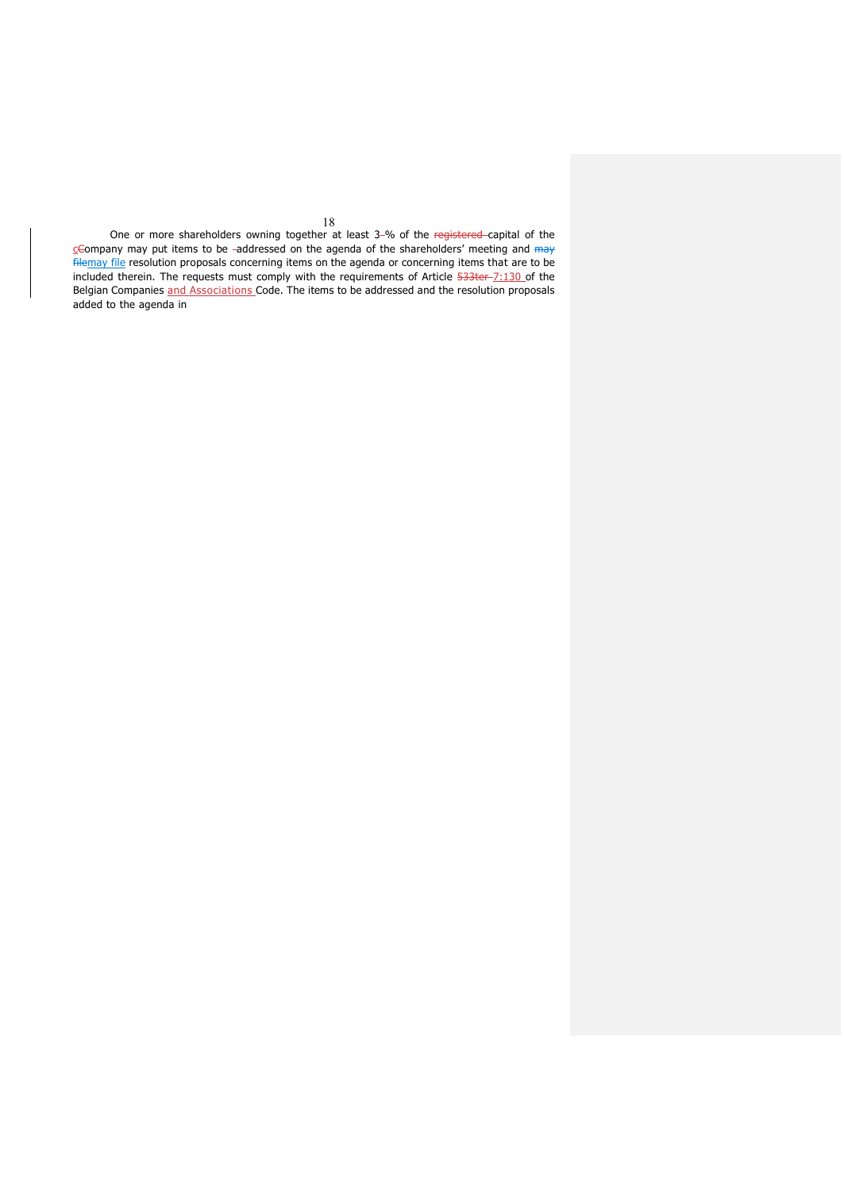18 One or more shareholders owning together at least 3-% of the registered-capital of the  $C$ Company may put items to be -addressed on the agenda of the shareholders' meeting and  $m\rightarrow$ filemay file resolution proposals concerning items on the agenda or concerning items that are to be included therein. The requests must comply with the requirements of Article 533ter-7:130 of the Belgian Companies and Associations Code. The items to be addressed and the resolution proposals added to the agenda in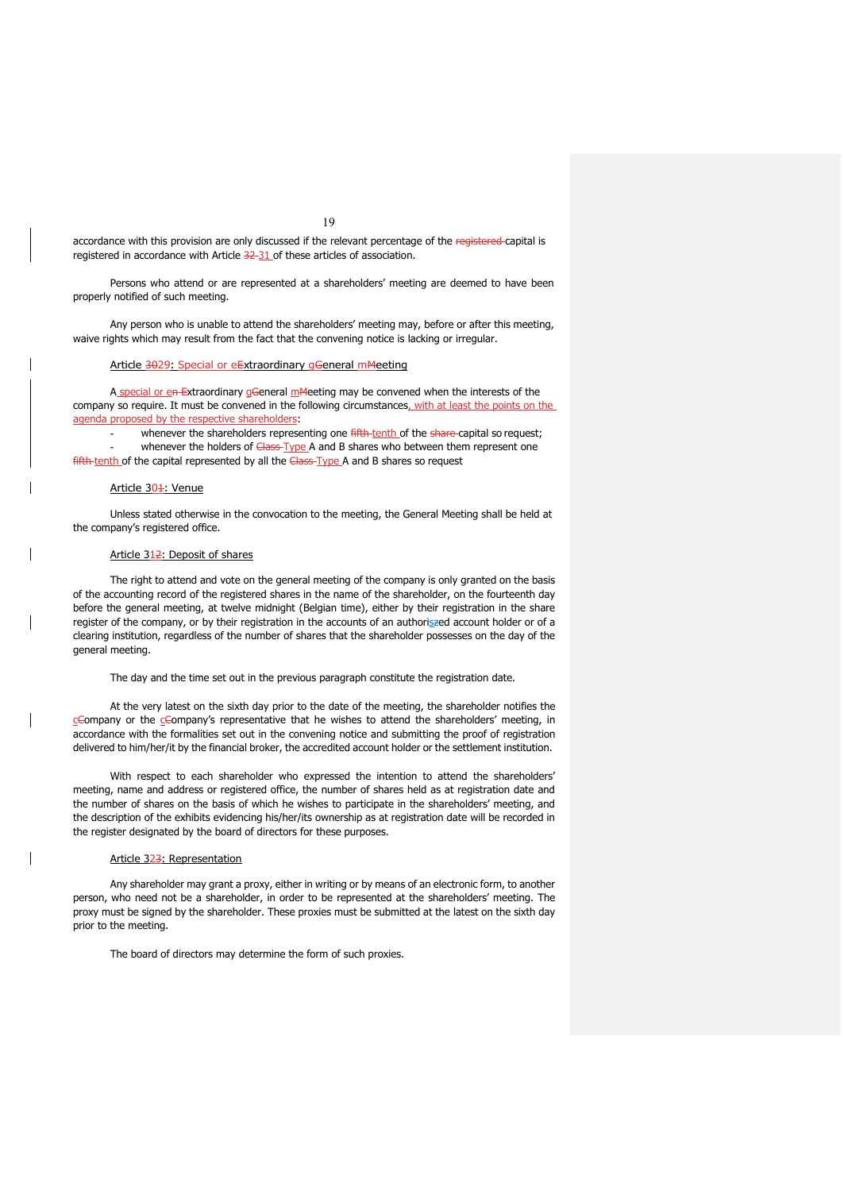accordance with this provision are only discussed if the relevant percentage of the registered-capital is registered in accordance with Article 32-31 of these articles of association.

Persons who attend or are represented at a shareholders' meeting are deemed to have been properly notified of such meeting.

Any person who is unable to attend the shareholders' meeting may, before or after this meeting, waive rights which may result from the fact that the convening notice is lacking or irregular.

### Article 3029: Special or eExtraordinary gGeneral mMeeting

A special or en Extraordinary gGeneral mMeeting may be convened when the interests of the company so require. It must be convened in the following circumstances, with at least the points on the agenda proposed by the respective shareholders:

whenever the shareholders representing one fifth tenth of the share-capital so request; - whenever the holders of Class-Type A and B shares who between them represent one fifth-tenth of the capital represented by all the Class-Type A and B shares so request

## Article 30<sup>1</sup>: Venue

Unless stated otherwise in the convocation to the meeting, the General Meeting shall be held at the company's registered office.

## Article 312: Deposit of shares

The right to attend and vote on the general meeting of the company is only granted on the basis of the accounting record of the registered shares in the name of the shareholder, on the fourteenth day before the general meeting, at twelve midnight (Belgian time), either by their registration in the share register of the company, or by their registration in the accounts of an authoriszed account holder or of a clearing institution, regardless of the number of shares that the shareholder possesses on the day of the general meeting.

The day and the time set out in the previous paragraph constitute the registration date.

At the very latest on the sixth day prior to the date of the meeting, the shareholder notifies the cCompany or the cCompany's representative that he wishes to attend the shareholders' meeting, in accordance with the formalities set out in the convening notice and submitting the proof of registration delivered to him/her/it by the financial broker, the accredited account holder or the settlement institution.

With respect to each shareholder who expressed the intention to attend the shareholders' meeting, name and address or registered office, the number of shares held as at registration date and the number of shares on the basis of which he wishes to participate in the shareholders' meeting, and the description of the exhibits evidencing his/her/its ownership as at registration date will be recorded in the register designated by the board of directors for these purposes.

#### Article 323: Representation

Any shareholder may grant a proxy, either in writing or by means of an electronic form, to another person, who need not be a shareholder, in order to be represented at the shareholders' meeting. The proxy must be signed by the shareholder. These proxies must be submitted at the latest on the sixth day prior to the meeting.

The board of directors may determine the form of such proxies.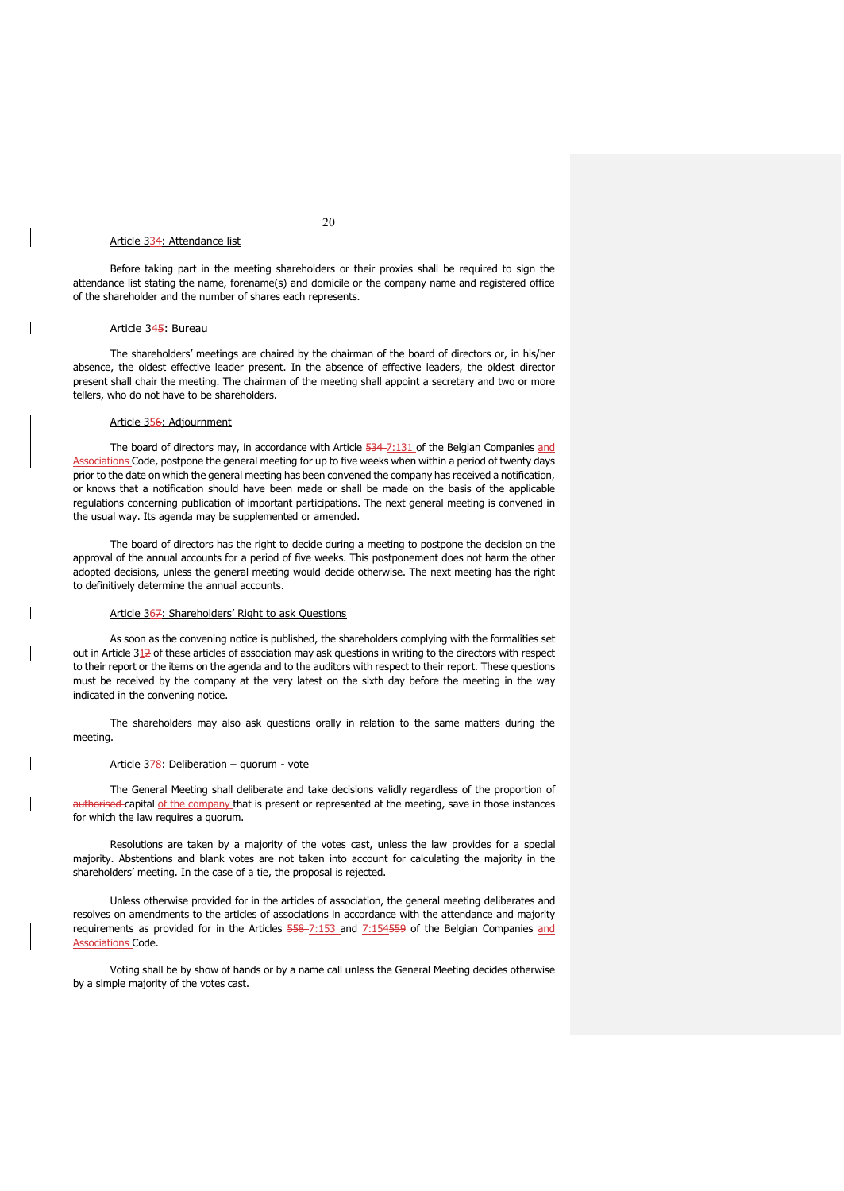## Article 334: Attendance list

Before taking part in the meeting shareholders or their proxies shall be required to sign the attendance list stating the name, forename(s) and domicile or the company name and registered office of the shareholder and the number of shares each represents.

#### Article 345: Bureau

The shareholders' meetings are chaired by the chairman of the board of directors or, in his/her absence, the oldest effective leader present. In the absence of effective leaders, the oldest director present shall chair the meeting. The chairman of the meeting shall appoint a secretary and two or more tellers, who do not have to be shareholders.

## Article 356: Adjournment

The board of directors may, in accordance with Article 534-7:131 of the Belgian Companies and Associations Code, postpone the general meeting for up to five weeks when within a period of twenty days prior to the date on which the general meeting has been convened the company has received a notification, or knows that a notification should have been made or shall be made on the basis of the applicable regulations concerning publication of important participations. The next general meeting is convened in the usual way. Its agenda may be supplemented or amended.

The board of directors has the right to decide during a meeting to postpone the decision on the approval of the annual accounts for a period of five weeks. This postponement does not harm the other adopted decisions, unless the general meeting would decide otherwise. The next meeting has the right to definitively determine the annual accounts.

### Article 367: Shareholders' Right to ask Questions

As soon as the convening notice is published, the shareholders complying with the formalities set out in Article 312 of these articles of association may ask questions in writing to the directors with respect to their report or the items on the agenda and to the auditors with respect to their report. These questions must be received by the company at the very latest on the sixth day before the meeting in the way indicated in the convening notice.

The shareholders may also ask questions orally in relation to the same matters during the meeting.

## Article 378: Deliberation - quorum - vote

The General Meeting shall deliberate and take decisions validly regardless of the proportion of authorised-capital of the company that is present or represented at the meeting, save in those instances for which the law requires a quorum.

Resolutions are taken by a majority of the votes cast, unless the law provides for a special majority. Abstentions and blank votes are not taken into account for calculating the majority in the shareholders' meeting. In the case of a tie, the proposal is rejected.

Unless otherwise provided for in the articles of association, the general meeting deliberates and resolves on amendments to the articles of associations in accordance with the attendance and majority requirements as provided for in the Articles 558-7:153 and 7:154559 of the Belgian Companies and Associations Code.

Voting shall be by show of hands or by a name call unless the General Meeting decides otherwise by a simple majority of the votes cast.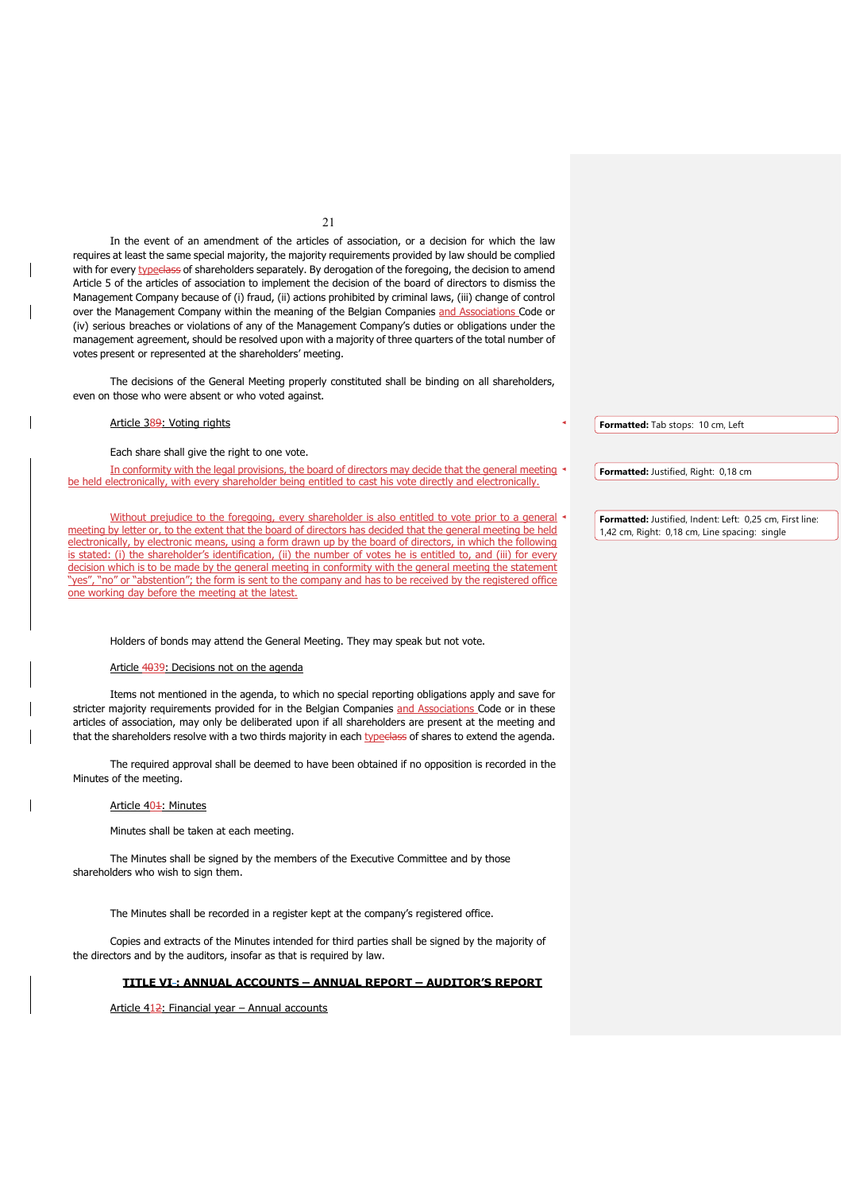In the event of an amendment of the articles of association, or a decision for which the law requires at least the same special majority, the majority requirements provided by law should be complied with for every typeelass of shareholders separately. By derogation of the foregoing, the decision to amend Article 5 of the articles of association to implement the decision of the board of directors to dismiss the Management Company because of (i) fraud, (ii) actions prohibited by criminal laws, (iii) change of control over the Management Company within the meaning of the Belgian Companies and Associations Code or (iv) serious breaches or violations of any of the Management Company's duties or obligations under the management agreement, should be resolved upon with a majority of three quarters of the total number of votes present or represented at the shareholders' meeting.

The decisions of the General Meeting properly constituted shall be binding on all shareholders, even on those who were absent or who voted against.

## Article 389: Voting rights

Each share shall give the right to one vote.

In conformity with the legal provisions, the board of directors may decide that the general meeting be held electronically, with every shareholder being entitled to cast his vote directly and electronically.

Without prejudice to the foregoing, every shareholder is also entitled to vote prior to a general meeting by letter or, to the extent that the board of directors has decided that the general meeting be held electronically, by electronic means, using a form drawn up by the board of directors, in which the following is stated: (i) the shareholder's identification, (ii) the number of votes he is entitled to, and (iii) for every decision which is to be made by the general meeting in conformity with the general meeting the statement "yes", "no" or "abstention"; the form is sent to the company and has to be received by the registered office one working day before the meeting at the latest.

Holders of bonds may attend the General Meeting. They may speak but not vote.

## Article 4039: Decisions not on the agenda

Items not mentioned in the agenda, to which no special reporting obligations apply and save for stricter majority requirements provided for in the Belgian Companies and Associations Code or in these articles of association, may only be deliberated upon if all shareholders are present at the meeting and that the shareholders resolve with a two thirds majority in each typedass of shares to extend the agenda.

The required approval shall be deemed to have been obtained if no opposition is recorded in the Minutes of the meeting.

## Article 401: Minutes

Minutes shall be taken at each meeting.

The Minutes shall be signed by the members of the Executive Committee and by those shareholders who wish to sign them.

The Minutes shall be recorded in a register kept at the company's registered office.

Copies and extracts of the Minutes intended for third parties shall be signed by the majority of the directors and by the auditors, insofar as that is required by law.

## **TITLE VI : ANNUAL ACCOUNTS – ANNUAL REPORT – AUDITOR'S REPORT**

Article 412: Financial year - Annual accounts

**Formatted:** Tab stops: 10 cm, Left

**Formatted:** Justified, Right: 0,18 cm

**Formatted:** Justified, Indent: Left: 0,25 cm, First line: 1,42 cm, Right: 0,18 cm, Line spacing: single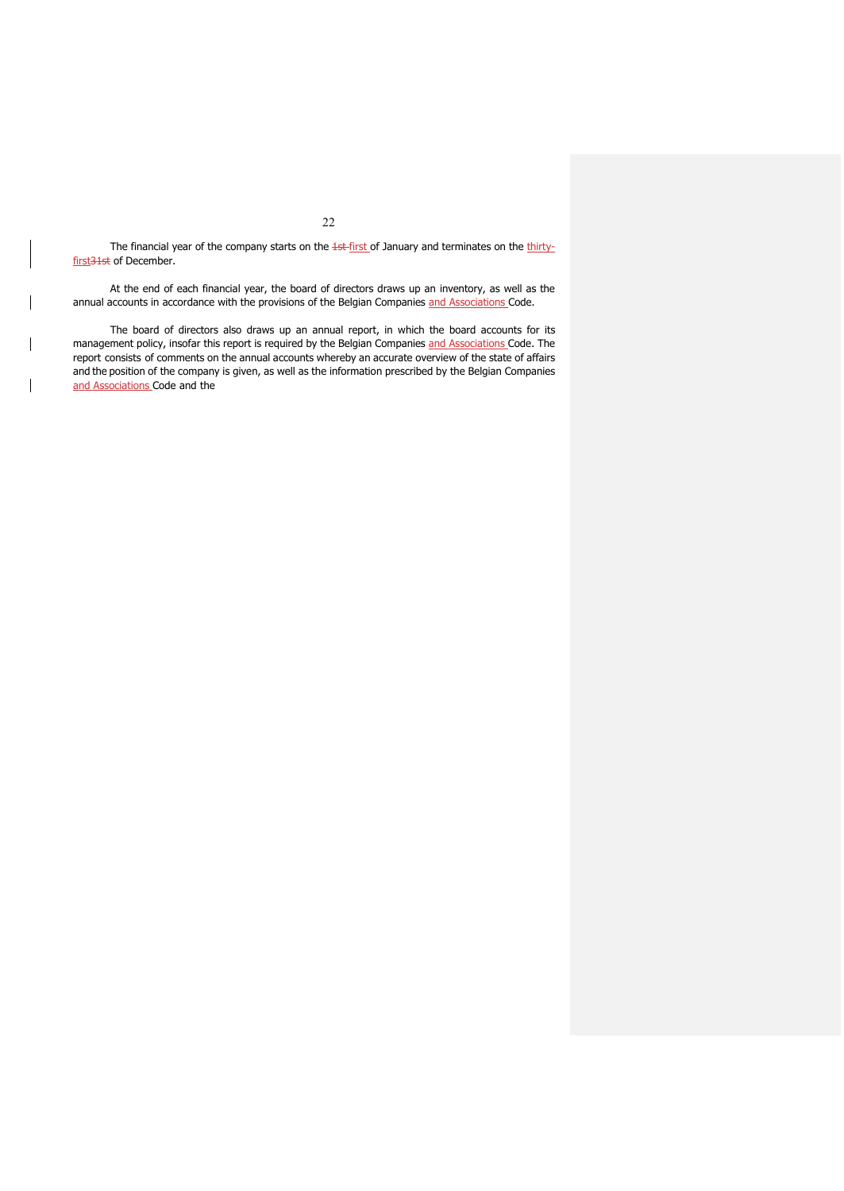The financial year of the company starts on the 1st-first of January and terminates on the thirtyfirst<sub>31st</sub> of December.

At the end of each financial year, the board of directors draws up an inventory, as well as the annual accounts in accordance with the provisions of the Belgian Companies and Associations Code.

The board of directors also draws up an annual report, in which the board accounts for its management policy, insofar this report is required by the Belgian Companies and Associations Code. The report consists of comments on the annual accounts whereby an accurate overview of the state of affairs and the position of the company is given, as well as the information prescribed by the Belgian Companies and Associations Code and the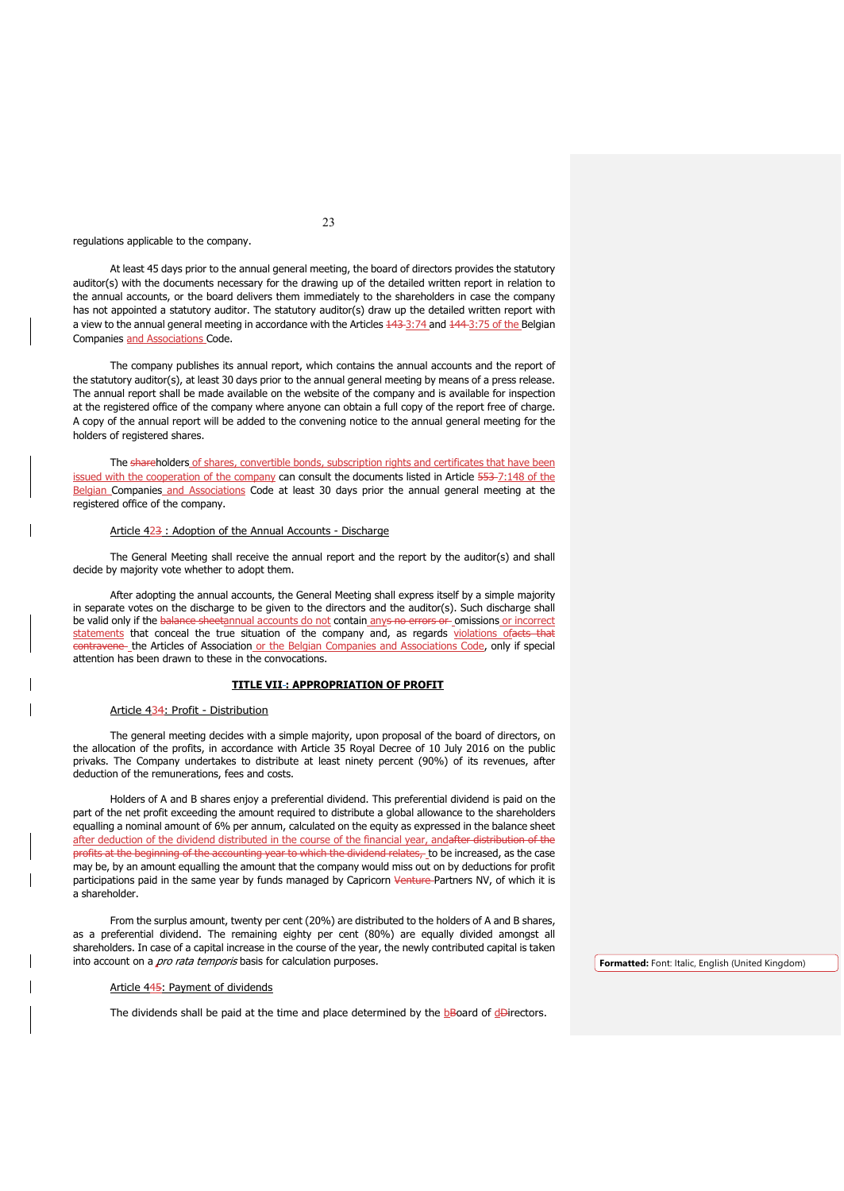regulations applicable to the company.

At least 45 days prior to the annual general meeting, the board of directors provides the statutory auditor(s) with the documents necessary for the drawing up of the detailed written report in relation to the annual accounts, or the board delivers them immediately to the shareholders in case the company has not appointed a statutory auditor. The statutory auditor(s) draw up the detailed written report with a view to the annual general meeting in accordance with the Articles  $\frac{143-3:74}{144-3:75}$  of the Belgian Companies and Associations Code.

The company publishes its annual report, which contains the annual accounts and the report of the statutory auditor(s), at least 30 days prior to the annual general meeting by means of a press release. The annual report shall be made available on the website of the company and is available for inspection at the registered office of the company where anyone can obtain a full copy of the report free of charge. A copy of the annual report will be added to the convening notice to the annual general meeting for the holders of registered shares.

The shareholders of shares, convertible bonds, subscription rights and certificates that have been issued with the cooperation of the company can consult the documents listed in Article 553-7:148 of the Belgian Companies and Associations Code at least 30 days prior the annual general meeting at the registered office of the company.

## Article 423 : Adoption of the Annual Accounts - Discharge

The General Meeting shall receive the annual report and the report by the auditor(s) and shall decide by majority vote whether to adopt them.

After adopting the annual accounts, the General Meeting shall express itself by a simple majority in separate votes on the discharge to be given to the directors and the auditor(s). Such discharge shall be valid only if the balance sheetannual accounts do not contain anys no errors or omissions or incorrect statements that conceal the true situation of the company and, as regards violations ofacts that contravene the Articles of Association or the Belgian Companies and Associations Code, only if special attention has been drawn to these in the convocations.

### **TITLE VII : APPROPRIATION OF PROFIT**

#### Article 434: Profit - Distribution

The general meeting decides with a simple majority, upon proposal of the board of directors, on the allocation of the profits, in accordance with Article 35 Royal Decree of 10 July 2016 on the public privaks. The Company undertakes to distribute at least ninety percent (90%) of its revenues, after deduction of the remunerations, fees and costs.

Holders of A and B shares enjoy a preferential dividend. This preferential dividend is paid on the part of the net profit exceeding the amount required to distribute a global allowance to the shareholders equalling a nominal amount of 6% per annum, calculated on the equity as expressed in the balance sheet after deduction of the dividend distributed in the course of the financial year, andafter distribution of the profits at the beginning of the accounting year to which the dividend relates, to be increased, as the case may be, by an amount equalling the amount that the company would miss out on by deductions for profit participations paid in the same year by funds managed by Capricorn Venture Partners NV, of which it is a shareholder.

From the surplus amount, twenty per cent (20%) are distributed to the holders of A and B shares, as a preferential dividend. The remaining eighty per cent (80%) are equally divided amongst all shareholders. In case of a capital increase in the course of the year, the newly contributed capital is taken into account on a *pro rata temporis* basis for calculation purposes.

### Article 445: Payment of dividends

The dividends shall be paid at the time and place determined by the  $b$ Board of  $d$ Birectors.

**Formatted:** Font: Italic, English (United Kingdom)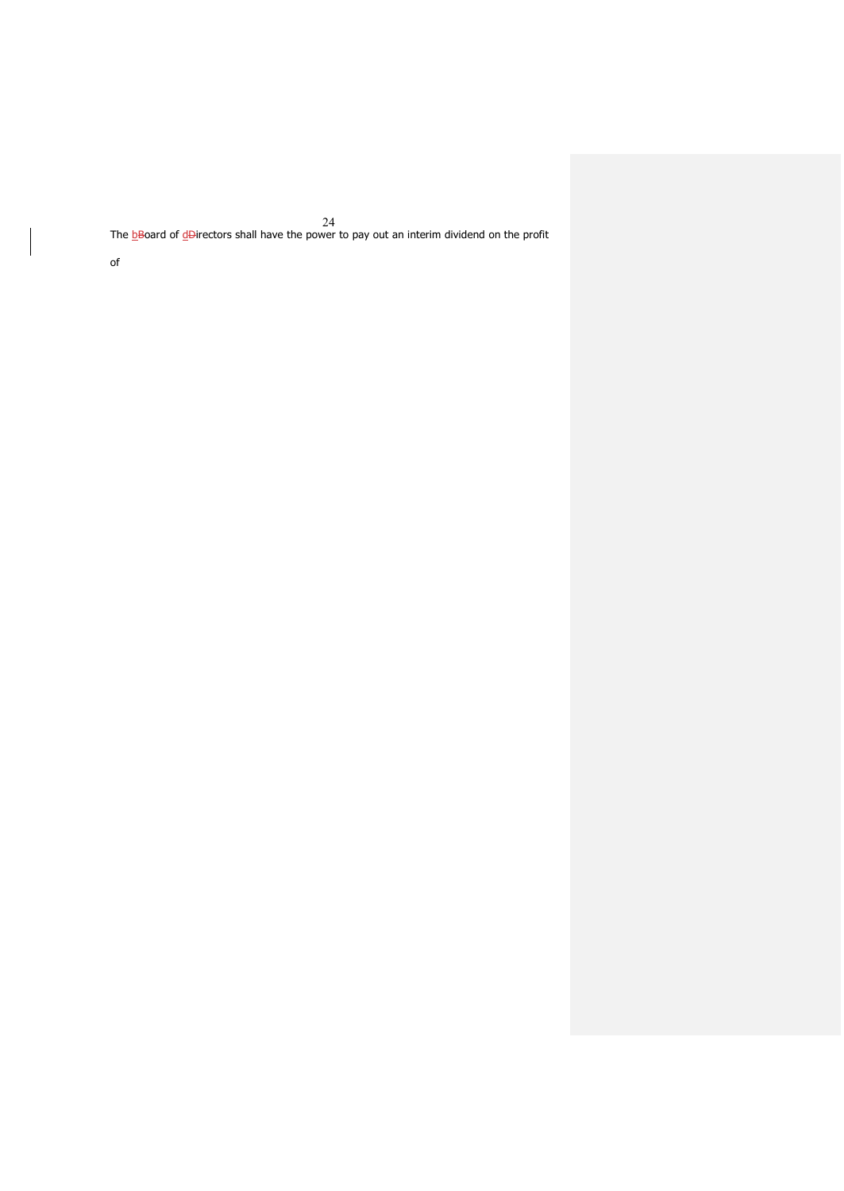24 The <u>b</u>Board of <u>d</u>Directors shall have the power to pay out an interim dividend on the profit

of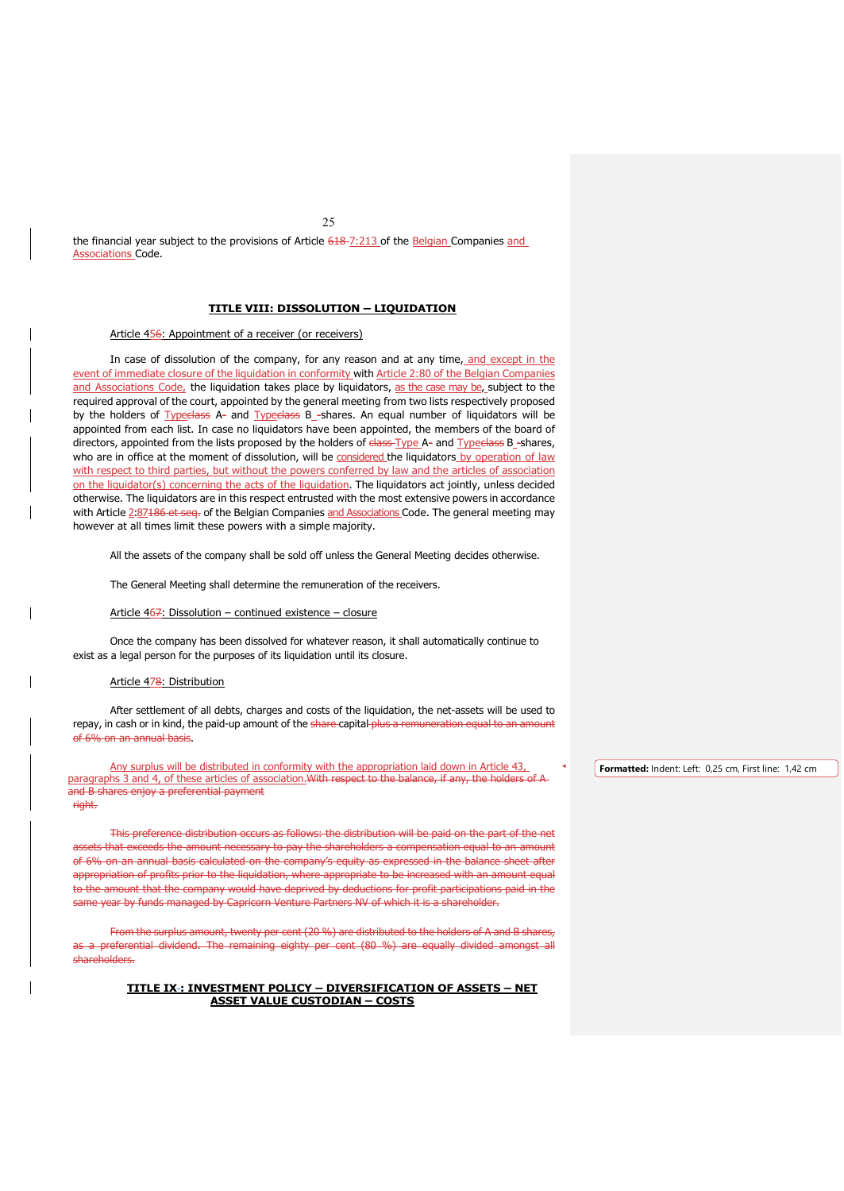25

the financial year subject to the provisions of Article 618-7:213 of the Belgian Companies and Associations Code.

## **TITLE VIII: DISSOLUTION – LIQUIDATION**

## Article 456: Appointment of a receiver (or receivers)

In case of dissolution of the company, for any reason and at any time, and except in the event of immediate closure of the liquidation in conformity with Article 2:80 of the Belgian Companies and Associations Code, the liquidation takes place by liquidators, as the case may be, subject to the required approval of the court, appointed by the general meeting from two lists respectively proposed by the holders of Typeclass A- and Typeclass B\_-shares. An equal number of liquidators will be appointed from each list. In case no liquidators have been appointed, the members of the board of directors, appointed from the lists proposed by the holders of elass Type A- and Type class B\_-shares, who are in office at the moment of dissolution, will be considered the liquidators by operation of law with respect to third parties, but without the powers conferred by law and the articles of association on the liquidator(s) concerning the acts of the liquidation. The liquidators act jointly, unless decided otherwise. The liquidators are in this respect entrusted with the most extensive powers in accordance with Article 2:87186 et seq. of the Belgian Companies and Associations Code. The general meeting may however at all times limit these powers with a simple majority.

All the assets of the company shall be sold off unless the General Meeting decides otherwise.

The General Meeting shall determine the remuneration of the receivers.

### Article 467: Dissolution – continued existence – closure

Once the company has been dissolved for whatever reason, it shall automatically continue to exist as a legal person for the purposes of its liquidation until its closure.

## Article 478: Distribution

After settlement of all debts, charges and costs of the liquidation, the net-assets will be used to repay, in cash or in kind, the paid-up amount of the share capital plus a remuneration equal to an amount of 6% on an annual basis.

Any surplus will be distributed in conformity with the appropriation laid down in Article 43, paragraphs 3 and 4, of these articles of association. With respect to the balance, if any, the holders of A and B shares enjoy a preferential payment right.

This preference distribution occurs as follows: the distribution will be paid on the part of the net assets that exceeds the amount necessary to pay the shareholders a compensation equal to an amount of 6% on an annual basis calculated on the company's equity as expressed in the balance sheet after appropriation of profits prior to the liquidation, where appropriate to be increased with an amount equal to the amount that the company would have deprived by deductions for profit participations paid in the same year by funds managed by Capricorn Venture Partners NV of which it is a shareholder.

From the surplus amount, twenty per cent (20 %) are distributed to the holders of A and B shares, as a preferential dividend. The remaining eighty per cent (80 %) are equally divided amongst all shareholders.

## **TITLE IX : INVESTMENT POLICY – DIVERSIFICATION OF ASSETS – NET ASSET VALUE CUSTODIAN – COSTS**

**Formatted:** Indent: Left: 0,25 cm, First line: 1,42 cm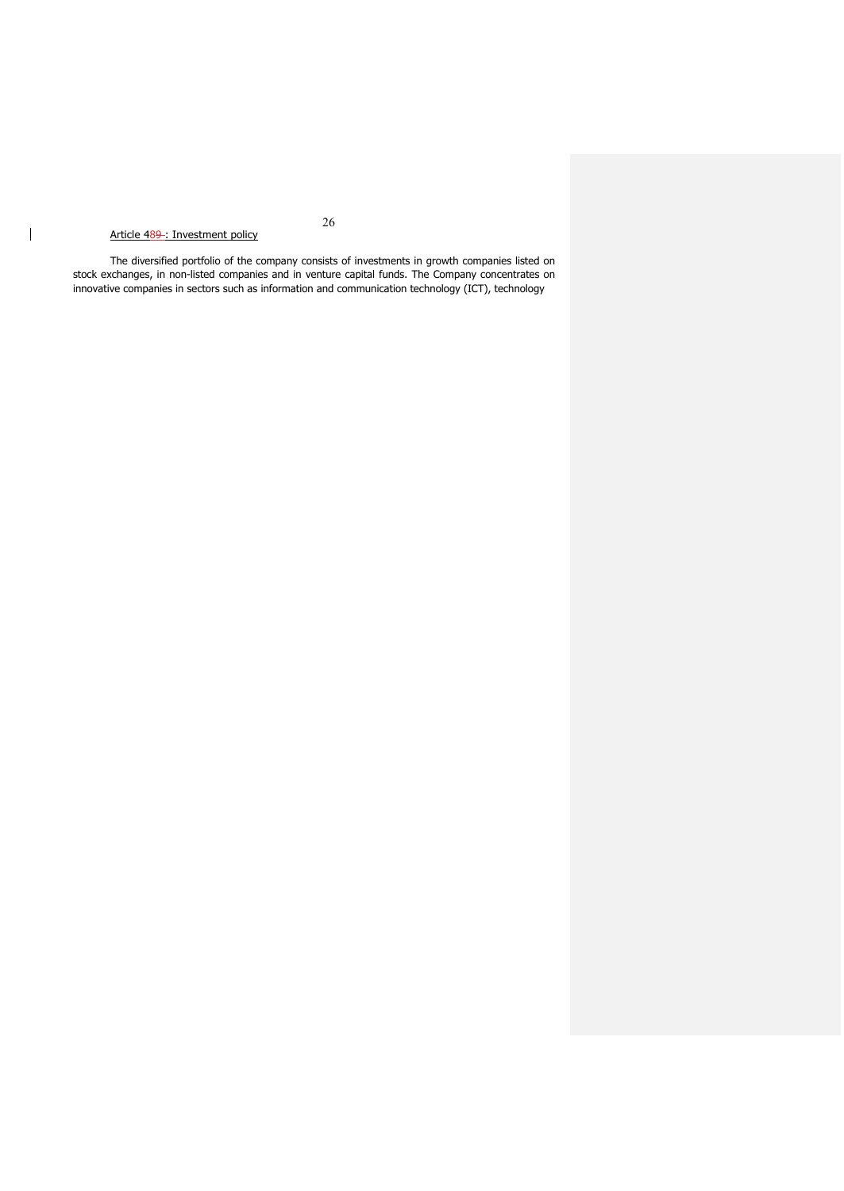# Article 489 : Investment policy

 $\begin{array}{c} \hline \end{array}$ 

The diversified portfolio of the company consists of investments in growth companies listed on stock exchanges, in non-listed companies and in venture capital funds. The Company concentrates on innovative companies in sectors such as information and communication technology (ICT), technology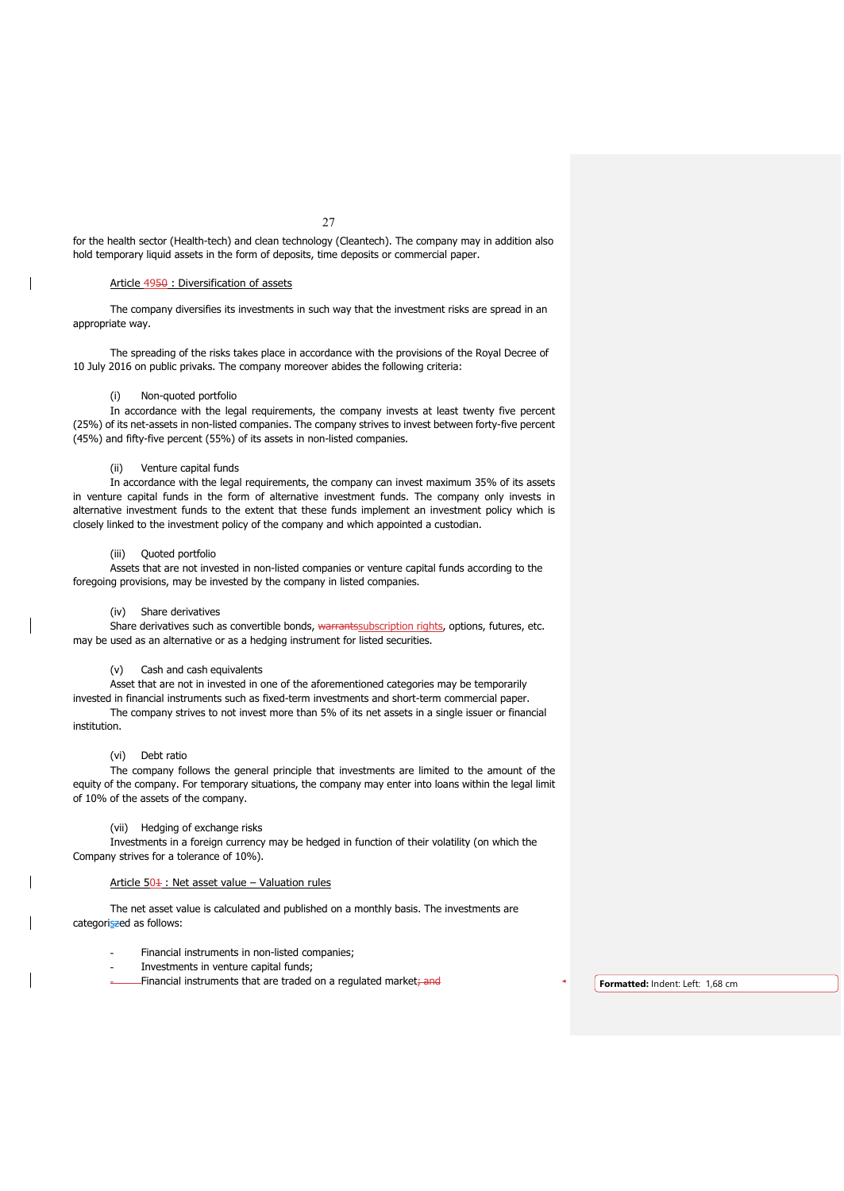for the health sector (Health-tech) and clean technology (Cleantech). The company may in addition also hold temporary liquid assets in the form of deposits, time deposits or commercial paper.

## Article 4950 : Diversification of assets

The company diversifies its investments in such way that the investment risks are spread in an appropriate way.

The spreading of the risks takes place in accordance with the provisions of the Royal Decree of 10 July 2016 on public privaks. The company moreover abides the following criteria:

### (i) Non-quoted portfolio

In accordance with the legal requirements, the company invests at least twenty five percent (25%) of its net-assets in non-listed companies. The company strives to invest between forty-five percent (45%) and fifty-five percent (55%) of its assets in non-listed companies.

## Venture capital funds

In accordance with the legal requirements, the company can invest maximum 35% of its assets in venture capital funds in the form of alternative investment funds. The company only invests in alternative investment funds to the extent that these funds implement an investment policy which is closely linked to the investment policy of the company and which appointed a custodian.

## (iii) Quoted portfolio

Assets that are not invested in non-listed companies or venture capital funds according to the foregoing provisions, may be invested by the company in listed companies.

## (iv) Share derivatives

Share derivatives such as convertible bonds, warrantssubscription rights, options, futures, etc. may be used as an alternative or as a hedging instrument for listed securities.

## (v) Cash and cash equivalents

Asset that are not in invested in one of the aforementioned categories may be temporarily

invested in financial instruments such as fixed-term investments and short-term commercial paper. The company strives to not invest more than 5% of its net assets in a single issuer or financial institution.

## (vi) Debt ratio

The company follows the general principle that investments are limited to the amount of the equity of the company. For temporary situations, the company may enter into loans within the legal limit of 10% of the assets of the company.

## (vii) Hedging of exchange risks

Investments in a foreign currency may be hedged in function of their volatility (on which the Company strives for a tolerance of 10%).

## Article  $50\frac{1}{1}$ : Net asset value – Valuation rules

The net asset value is calculated and published on a monthly basis. The investments are categoriszed as follows:

- Financial instruments in non-listed companies;
- Investments in venture capital funds:
- Financial instruments that are traded on a regulated market; and **Formatted:** Indent: Left: 1,68 cm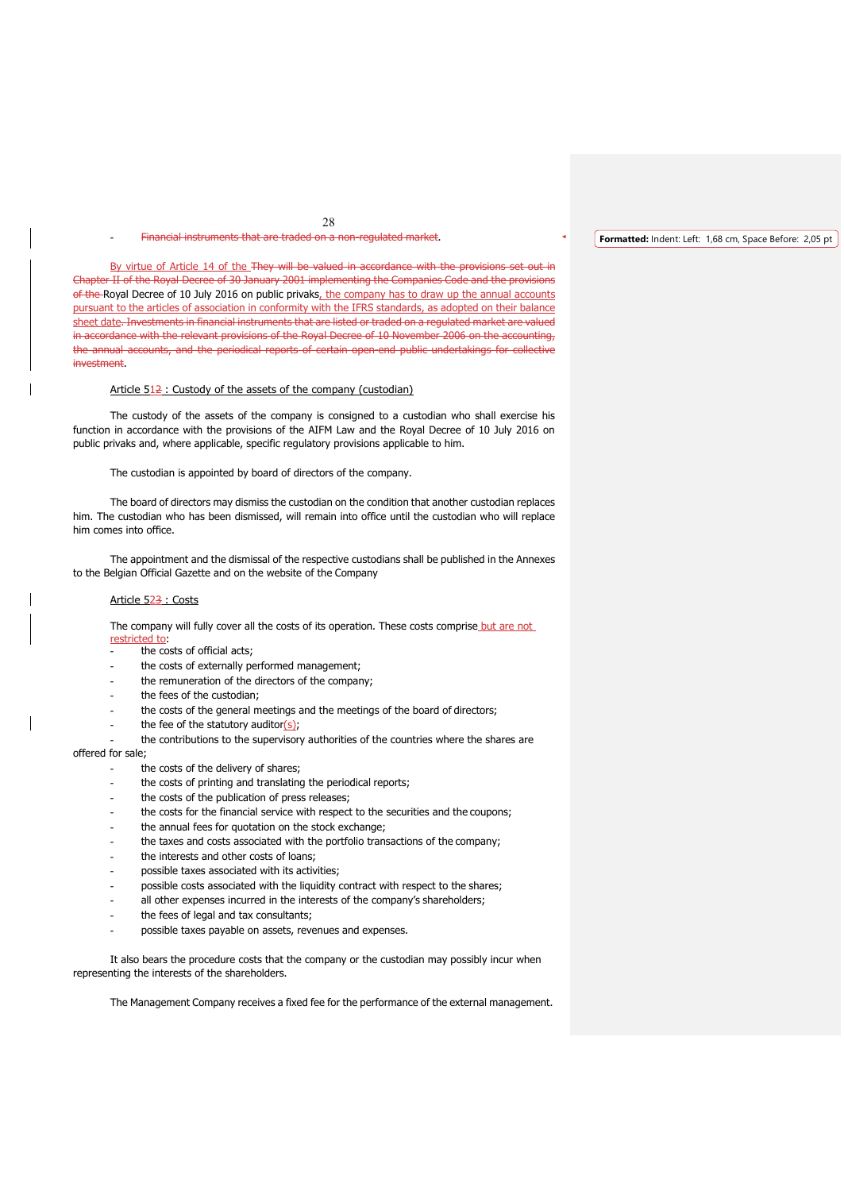### 28 Financial instruments that are traded on a non-regulated market.

By virtue of Article 14 of the They will be valued in accordance with the provisions set out in Chapter II of the Royal Decree of 30 January 2001 implementing the Companies Code and the provisions of the Royal Decree of 10 July 2016 on public privaks, the company has to draw up the annual accounts pursuant to the articles of association in conformity with the IFRS standards, as adopted on their balance sheet date. Investments in financial instruments that are listed or traded on a regulated market are valued in accordance with the relevant provisions of the Royal Decree of 10 November 2006 on the accounting, the annual accounts, and the periodical reports of certain open-end public undertakings for collective investment.

### Article  $512$ : Custody of the assets of the company (custodian)

The custody of the assets of the company is consigned to a custodian who shall exercise his function in accordance with the provisions of the AIFM Law and the Royal Decree of 10 July 2016 on public privaks and, where applicable, specific regulatory provisions applicable to him.

The custodian is appointed by board of directors of the company.

The board of directors may dismiss the custodian on the condition that another custodian replaces him. The custodian who has been dismissed, will remain into office until the custodian who will replace him comes into office.

The appointment and the dismissal of the respective custodians shall be published in the Annexes to the Belgian Official Gazette and on the website of the Company

#### Article 523 : Costs

The company will fully cover all the costs of its operation. These costs comprise but are not restricted to:

- the costs of official acts;
- the costs of externally performed management;
- the remuneration of the directors of the company;
- the fees of the custodian;
- the costs of the general meetings and the meetings of the board of directors;
- the fee of the statutory auditor $(s)$ ;
- the contributions to the supervisory authorities of the countries where the shares are

## offered for sale;

- the costs of the delivery of shares;
- the costs of printing and translating the periodical reports;
- the costs of the publication of press releases;
- the costs for the financial service with respect to the securities and the coupons;
- the annual fees for quotation on the stock exchange;
- the taxes and costs associated with the portfolio transactions of the company;
- the interests and other costs of loans;
- possible taxes associated with its activities;
- possible costs associated with the liquidity contract with respect to the shares;
- all other expenses incurred in the interests of the company's shareholders;
- the fees of legal and tax consultants;
- possible taxes payable on assets, revenues and expenses.

It also bears the procedure costs that the company or the custodian may possibly incur when representing the interests of the shareholders.

The Management Company receives a fixed fee for the performance of the external management.

#### **Formatted:** Indent: Left: 1,68 cm, Space Before: 2,05 pt